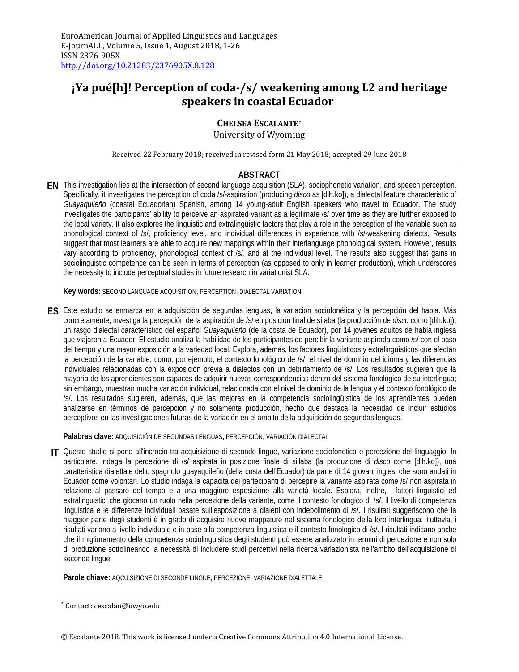# **¡Ya pué[h]! Perception of coda-/s/ weakening among L2 and heritage speakers in coastal Ecuador**

## **CHELSEA ESCALANTE[\\*](#page-0-0)**

University of Wyoming

Received 22 February 2018; received in revised form 21 May 2018; accepted 29 June 2018

### **ABSTRACT**

**EN** This investigation lies at the intersection of second language acquisition (SLA), sociophonetic variation, and speech perception. Specifically, it investigates the perception of coda /s/-aspiration (producing *disco* as [dih.ko]), a dialectal feature characteristic of *Guayaquileño* (coastal Ecuadorian) Spanish, among 14 young-adult English speakers who travel to Ecuador. The study investigates the participants' ability to perceive an aspirated variant as a legitimate /s/ over time as they are further exposed to the local variety. It also explores the linguistic and extralinguistic factors that play a role in the perception of the variable such as phonological context of /s/, proficiency level, and individual differences in experience with /s/-weakening dialects. Results suggest that most learners are able to acquire new mappings within their interlanguage phonological system. However, results vary according to proficiency, phonological context of /s/, and at the individual level. The results also suggest that gains in sociolinguistic competence can be seen in terms of perception (as opposed to only in learner production), which underscores the necessity to include perceptual studies in future research in variationist SLA.

**Key words:** SECOND LANGUAGE ACQUISITION, PERCEPTION, DIALECTAL VARIATION

**ES** Este estudio se enmarca en la adquisición de segundas lenguas, la variación sociofonética y la percepción del habla. Más concretamente, investiga la percepción de la aspiración de /s/ en posición final de sílaba (la producción de *disco* como [dih.ko]), un rasgo dialectal característico del español *Guayaquileño* (de la costa de Ecuador), por 14 jóvenes adultos de habla inglesa que viajaron a Ecuador. El estudio analiza la habilidad de los participantes de percibir la variante aspirada como /s/ con el paso del tiempo y una mayor exposición a la variedad local. Explora, además, los factores lingüísticos y extralingüísticos que afectan la percepción de la variable, como, por ejemplo, el contexto fonológico de /s/, el nivel de dominio del idioma y las diferencias individuales relacionadas con la exposición previa a dialectos con un debilitamiento de /s/. Los resultados sugieren que la mayoría de los aprendientes son capaces de adquirir nuevas correspondencias dentro del sistema fonológico de su interlingua; sin embargo, muestran mucha variación individual, relacionada con el nivel de dominio de la lengua y el contexto fonológico de /s/. Los resultados sugieren, además, que las mejoras en la competencia sociolingüística de los aprendientes pueden analizarse en términos de percepción y no solamente producción, hecho que destaca la necesidad de incluir estudios perceptivos en las investigaciones futuras de la variación en el ámbito de la adquisición de segundas lenguas.

**Palabras clave:** ADQUISICIÓN DE SEGUNDAS LENGUAS, PERCEPCIÓN, VARIACIÓN DIALECTAL

**IT** Questo studio si pone all'incrocio tra acquisizione di seconde lingue, variazione sociofonetica e percezione del linguaggio. In particolare, indaga la percezione di /s/ aspirata in posizione finale di sillaba (la produzione di *disco* come [dih.ko]), una caratteristica dialettale dello spagnolo guayaquileño (della costa dell'Ecuador) da parte di 14 giovani inglesi che sono andati in Ecuador come volontari. Lo studio indaga la capacità dei partecipanti di percepire la variante aspirata come /s/ non aspirata in relazione al passare del tempo e a una maggiore esposizione alla varietà locale. Esplora, inoltre, i fattori linguistici ed extralinguistici che giocano un ruolo nella percezione della variante, come il contesto fonologico di /s/, il livello di competenza linguistica e le differenze individuali basate sull'esposizione a dialetti con indebolimento di /s/. I risultati suggeriscono che la maggior parte degli studenti è in grado di acquisire nuove mappature nel sistema fonologico della loro interlingua. Tuttavia, i risultati variano a livello individuale e in base alla competenza linguistica e il contesto fonologico di /s/. I risultati indicano anche che il miglioramento della competenza sociolinguistica degli studenti può essere analizzato in termini di percezione e non solo di produzione sottolineando la necessità di includere studi percettivi nella ricerca variazionista nell'ambito dell'acquisizione di seconde lingue.

**Parole chiave:** AQCUISIZIONE DI SECONDE LINGUE, PERCEZIONE, VARIAZIONE DIALETTALE

<span id="page-0-0"></span> <sup>\*</sup> Contact: cescalan@uwyo.edu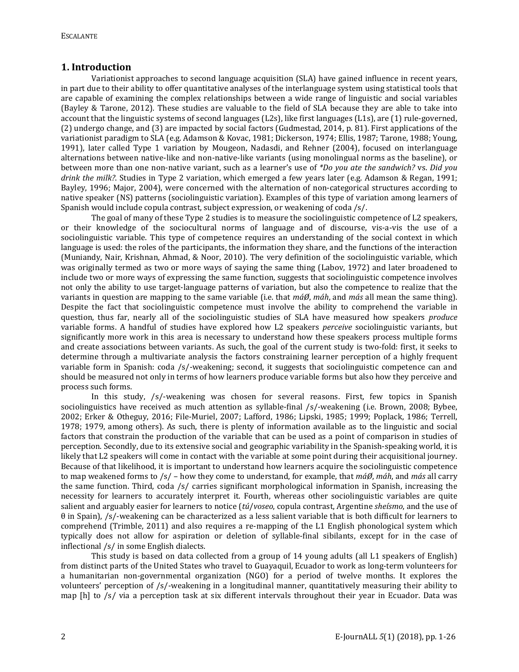### **1. Introduction**

Variationist approaches to second language acquisition (SLA) have gained influence in recent years, in part due to their ability to offer quantitative analyses of the interlanguage system using statistical tools that are capable of examining the complex relationships between a wide range of linguistic and social variables (Bayley & Tarone, 2012). These studies are valuable to the field of SLA because they are able to take into account that the linguistic systems of second languages (L2s), like first languages (L1s), are (1) rule-governed, (2) undergo change, and (3) are impacted by social factors (Gudmestad, 2014, p. 81). First applications of the variationist paradigm to SLA (e.g. Adamson & Kovac, 1981; Dickerson, 1974; Ellis, 1987; Tarone, 1988; Young, 1991), later called Type 1 variation by Mougeon, Nadasdi, and Rehner (2004), focused on interlanguage alternations between native-like and non-native-like variants (using monolingual norms as the baseline), or between more than one non-native variant, such as a learner's use of *\*Do you ate the sandwich?* vs. *Did you drink the milk?*. Studies in Type 2 variation, which emerged a few years later (e.g. Adamson & Regan, 1991; Bayley, 1996; Major, 2004), were concerned with the alternation of non-categorical structures according to native speaker (NS) patterns (sociolinguistic variation). Examples of this type of variation among learners of Spanish would include copula contrast, subject expression, or weakening of coda /s/.

The goal of many of these Type 2 studies is to measure the sociolinguistic competence of L2 speakers, or their knowledge of the sociocultural norms of language and of discourse, vis-a-vis the use of a sociolinguistic variable. This type of competence requires an understanding of the social context in which language is used: the roles of the participants, the information they share, and the functions of the interaction (Muniandy, Nair, Krishnan, Ahmad, & Noor, 2010). The very definition of the sociolinguistic variable, which was originally termed as two or more ways of saying the same thing (Labov, 1972) and later broadened to include two or more ways of expressing the same function, suggests that sociolinguistic competence involves not only the ability to use target-language patterns of variation, but also the competence to realize that the variants in question are mapping to the same variable (i.e. that *máØ*, *máh*, and *más* all mean the same thing). Despite the fact that sociolinguistic competence must involve the ability to comprehend the variable in question, thus far, nearly all of the sociolinguistic studies of SLA have measured how speakers *produce* variable forms. A handful of studies have explored how L2 speakers *perceive* sociolinguistic variants, but significantly more work in this area is necessary to understand how these speakers process multiple forms and create associations between variants. As such, the goal of the current study is two-fold: first, it seeks to determine through a multivariate analysis the factors constraining learner perception of a highly frequent variable form in Spanish: coda /s/-weakening; second, it suggests that sociolinguistic competence can and should be measured not only in terms of how learners produce variable forms but also how they perceive and process such forms.

In this study, /s/-weakening was chosen for several reasons. First, few topics in Spanish sociolinguistics have received as much attention as syllable-final /s/-weakening (i.e. Brown, 2008; Bybee, 2002; Erker & Otheguy, 2016; File-Muriel, 2007; Lafford, 1986; Lipski, 1985; 1999; Poplack, 1986; Terrell, 1978; 1979, among others). As such, there is plenty of information available as to the linguistic and social factors that constrain the production of the variable that can be used as a point of comparison in studies of perception. Secondly, due to its extensive social and geographic variability in the Spanish-speaking world, it is likely that L2 speakers will come in contact with the variable at some point during their acquisitional journey. Because of that likelihood, it is important to understand how learners acquire the sociolinguistic competence to map weakened forms to /s/ – how they come to understand, for example, that *máØ*, *máh*, and *más* all carry the same function. Third, coda /s/ carries significant morphological information in Spanish, increasing the necessity for learners to accurately interpret it. Fourth, whereas other sociolinguistic variables are quite salient and arguably easier for learners to notice (*tú*/*voseo*, copula contrast, Argentine *sheísmo*, and the use of θ in Spain), /s/-weakening can be characterized as a less salient variable that is both difficult for learners to comprehend (Trimble, 2011) and also requires a re-mapping of the L1 English phonological system which typically does not allow for aspiration or deletion of syllable-final sibilants, except for in the case of inflectional /s/ in some English dialects.

This study is based on data collected from a group of 14 young adults (all L1 speakers of English) from distinct parts of the United States who travel to Guayaquil, Ecuador to work as long-term volunteers for a humanitarian non-governmental organization (NGO) for a period of twelve months. It explores the volunteers' perception of /s/-weakening in a longitudinal manner, quantitatively measuring their ability to map [h] to /s/ via a perception task at six different intervals throughout their year in Ecuador. Data was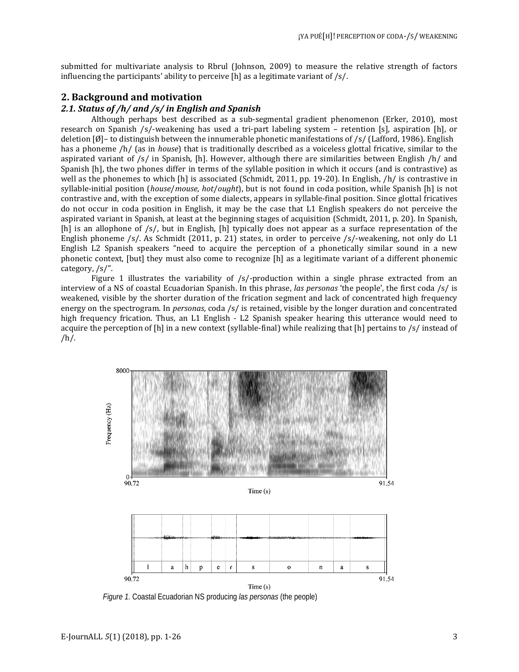submitted for multivariate analysis to Rbrul (Johnson, 2009) to measure the relative strength of factors influencing the participants' ability to perceive  $[h]$  as a legitimate variant of /s/.

### **2. Background and motivation**

### *2.1. Status of /h/ and /s/ in English and Spanish*

Although perhaps best described as a sub-segmental gradient phenomenon (Erker, 2010), most research on Spanish /s/-weakening has used a tri-part labeling system – retention [s], aspiration [h], or deletion [Ø]– to distinguish between the innumerable phonetic manifestations of /s/ (Lafford, 1986). English has a phoneme /h/ (as in *house*) that is traditionally described as a voiceless glottal fricative, similar to the aspirated variant of  $/s/$  in Spanish, [h]. However, although there are similarities between English  $/h/$  and Spanish [h], the two phones differ in terms of the syllable position in which it occurs (and is contrastive) as well as the phonemes to which [h] is associated (Schmidt, 2011, pp. 19-20). In English, /h/ is contrastive in syllable-initial position (*house*/*mouse*, *hot*/*ought*), but is not found in coda position, while Spanish [h] is not contrastive and, with the exception of some dialects, appears in syllable-final position. Since glottal fricatives do not occur in coda position in English, it may be the case that L1 English speakers do not perceive the aspirated variant in Spanish, at least at the beginning stages of acquisition (Schmidt, 2011, p. 20). In Spanish, [h] is an allophone of /s/, but in English, [h] typically does not appear as a surface representation of the English phoneme /s/. As Schmidt (2011, p. 21) states, in order to perceive /s/-weakening, not only do L1 English L2 Spanish speakers "need to acquire the perception of a phonetically similar sound in a new phonetic context, [but] they must also come to recognize [h] as a legitimate variant of a different phonemic category, /s/".

Figure 1 illustrates the variability of /s/-production within a single phrase extracted from an interview of a NS of coastal Ecuadorian Spanish. In this phrase, *las personas* 'the people', the first coda /s/ is weakened, visible by the shorter duration of the frication segment and lack of concentrated high frequency energy on the spectrogram. In *personas*, coda /s/ is retained, visible by the longer duration and concentrated high frequency frication. Thus, an L1 English - L2 Spanish speaker hearing this utterance would need to acquire the perception of [h] in a new context (syllable-final) while realizing that [h] pertains to /s/ instead of  $/h/$ .



*Figure 1.* Coastal Ecuadorian NS producing *las personas* (the people)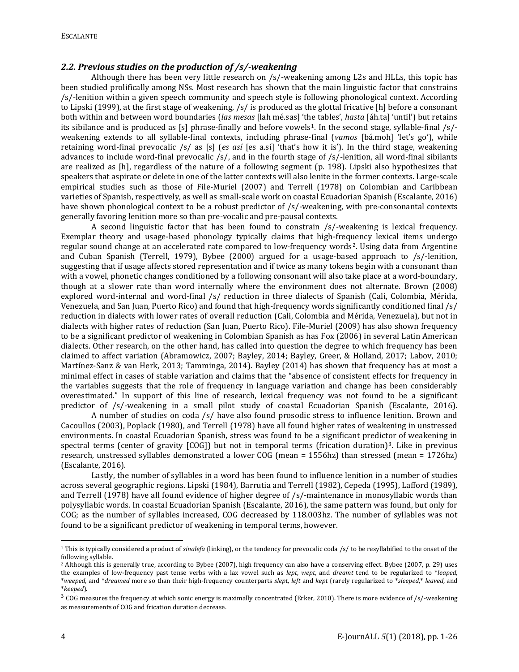#### *2.2. Previous studies on the production of /s/-weakening*

Although there has been very little research on /s/-weakening among L2s and HLLs, this topic has been studied prolifically among NSs. Most research has shown that the main linguistic factor that constrains /s/-lenition within a given speech community and speech style is following phonological context. According to Lipski (1999), at the first stage of weakening, /s/ is produced as the glottal fricative [h] before a consonant both within and between word boundaries (*las mesas* [lah mé.sas] 'the tables', *hasta* [áh.ta] 'until') but retains its sibilance and is produced as [s] phrase-finally and before vowels<sup>[1](#page-3-0)</sup>. In the second stage, syllable-final /s/weakening extends to all syllable-final contexts, including phrase-final (*vamos* [bá.moh] 'let's go'), while retaining word-final prevocalic /s/ as [s] (*es así* [es a.sí] 'that's how it is'). In the third stage, weakening advances to include word-final prevocalic /s/, and in the fourth stage of /s/-lenition, all word-final sibilants are realized as [h], regardless of the nature of a following segment (p. 198). Lipski also hypothesizes that speakers that aspirate or delete in one of the latter contexts will also lenite in the former contexts. Large-scale empirical studies such as those of File-Muriel (2007) and Terrell (1978) on Colombian and Caribbean varieties of Spanish, respectively, as well as small-scale work on coastal Ecuadorian Spanish (Escalante, 2016) have shown phonological context to be a robust predictor of /s/-weakening, with pre-consonantal contexts generally favoring lenition more so than pre-vocalic and pre-pausal contexts.

A second linguistic factor that has been found to constrain /s/-weakening is lexical frequency. Exemplar theory and usage-based phonology typically claims that high-frequency lexical items undergo regular sound change at an accelerated rate compared to low-frequency words[2.](#page-3-1) Using data from Argentine and Cuban Spanish (Terrell, 1979), Bybee (2000) argued for a usage-based approach to /s/-lenition, suggesting that if usage affects stored representation and if twice as many tokens begin with a consonant than with a vowel, phonetic changes conditioned by a following consonant will also take place at a word-boundary, though at a slower rate than word internally where the environment does not alternate. Brown (2008) explored word-internal and word-final /s/ reduction in three dialects of Spanish (Cali, Colombia, Mérida, Venezuela, and San Juan, Puerto Rico) and found that high-frequency words significantly conditioned final /s/ reduction in dialects with lower rates of overall reduction (Cali, Colombia and Mérida, Venezuela), but not in dialects with higher rates of reduction (San Juan, Puerto Rico). File-Muriel (2009) has also shown frequency to be a significant predictor of weakening in Colombian Spanish as has Fox (2006) in several Latin American dialects. Other research, on the other hand, has called into question the degree to which frequency has been claimed to affect variation (Abramowicz, 2007; Bayley, 2014; Bayley, Greer, & Holland, 2017; Labov, 2010; Martínez-Sanz & van Herk, 2013; Tamminga, 2014). Bayley (2014) has shown that frequency has at most a minimal effect in cases of stable variation and claims that the "absence of consistent effects for frequency in the variables suggests that the role of frequency in language variation and change has been considerably overestimated." In support of this line of research, lexical frequency was not found to be a significant predictor of /s/-weakening in a small pilot study of coastal Ecuadorian Spanish (Escalante, 2016).

A number of studies on coda /s/ have also found prosodic stress to influence lenition. Brown and Cacoullos (2003), Poplack (1980), and Terrell (1978) have all found higher rates of weakening in unstressed environments. In coastal Ecuadorian Spanish, stress was found to be a significant predictor of weakening in spectral terms (center of gravity [COG]) but not in temporal terms (frication duration)<sup>[3](#page-3-2)</sup>. Like in previous research, unstressed syllables demonstrated a lower COG (mean = 1556hz) than stressed (mean = 1726hz) (Escalante, 2016).

Lastly, the number of syllables in a word has been found to influence lenition in a number of studies across several geographic regions. Lipski (1984), Barrutia and Terrell (1982), Cepeda (1995), Lafford (1989), and Terrell (1978) have all found evidence of higher degree of /s/-maintenance in monosyllabic words than polysyllabic words. In coastal Ecuadorian Spanish (Escalante, 2016), the same pattern was found, but only for COG; as the number of syllables increased, COG decreased by 118.003hz. The number of syllables was not found to be a significant predictor of weakening in temporal terms, however.

l

<span id="page-3-0"></span><sup>1</sup> This is typically considered a product of *sinalefa* (linking), or the tendency for prevocalic coda /s/ to be resyllabified to the onset of the following syllable.

<span id="page-3-1"></span><sup>2</sup> Although this is generally true, according to Bybee (2007), high frequency can also have a conserving effect. Bybee (2007, p. 29) uses the examples of low-frequency past tense verbs with a lax vowel such as *lept*, *wept*, and *dreamt* tend to be regularized to \**leaped*, \**weeped*, and \**dreamed* more so than their high-frequency counterparts *slept*, *left* and *kept* (rarely regularized to \**sleeped*,\* *leaved*, and

<span id="page-3-2"></span><sup>&</sup>lt;sup>3</sup> COG measures the frequency at which sonic energy is maximally concentrated (Erker, 2010). There is more evidence of /s/-weakening as measurements of COG and frication duration decrease.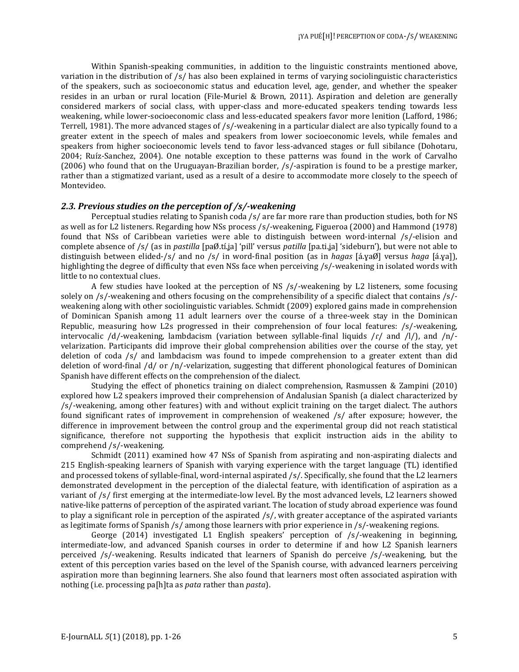Within Spanish-speaking communities, in addition to the linguistic constraints mentioned above, variation in the distribution of /s/ has also been explained in terms of varying sociolinguistic characteristics of the speakers, such as socioeconomic status and education level, age, gender, and whether the speaker resides in an urban or rural location (File-Muriel & Brown, 2011). Aspiration and deletion are generally considered markers of social class, with upper-class and more-educated speakers tending towards less weakening, while lower-socioeconomic class and less-educated speakers favor more lenition (Lafford, 1986; Terrell, 1981). The more advanced stages of /s/-weakening in a particular dialect are also typically found to a greater extent in the speech of males and speakers from lower socioeconomic levels, while females and speakers from higher socioeconomic levels tend to favor less-advanced stages or full sibilance (Dohotaru, 2004; Ruíz-Sanchez, 2004). One notable exception to these patterns was found in the work of Carvalho (2006) who found that on the Uruguayan-Brazilian border, /s/-aspiration is found to be a prestige marker, rather than a stigmatized variant, used as a result of a desire to accommodate more closely to the speech of Montevideo.

### *2.3. Previous studies on the perception of /s/-weakening*

Perceptual studies relating to Spanish coda /s/ are far more rare than production studies, both for NS as well as for L2 listeners. Regarding how NSs process /s/-weakening, Figueroa (2000) and Hammond (1978) found that NSs of Caribbean varieties were able to distinguish between word-internal /s/-elision and complete absence of /s/ (as in *pastilla* [paØ.tí.ʝa] 'pill' versus *patilla* [pa.ti.ʝa] 'sideburn'), but were not able to distinguish between elided-/s/ and no /s/ in word-final position (as in *hagas* [á.ɣaØ] versus *haga* [á.ɣa]), highlighting the degree of difficulty that even NSs face when perceiving /s/-weakening in isolated words with little to no contextual clues.

A few studies have looked at the perception of NS /s/-weakening by L2 listeners, some focusing solely on /s/-weakening and others focusing on the comprehensibility of a specific dialect that contains /s/ weakening along with other sociolinguistic variables. Schmidt (2009) explored gains made in comprehension of Dominican Spanish among 11 adult learners over the course of a three-week stay in the Dominican Republic, measuring how L2s progressed in their comprehension of four local features: /s/-weakening, intervocalic /d/-weakening, lambdacism (variation between syllable-final liquids / $r/$  and /l/), and /n/velarization. Participants did improve their global comprehension abilities over the course of the stay, yet deletion of coda /s/ and lambdacism was found to impede comprehension to a greater extent than did deletion of word-final /d/ or /n/-velarization, suggesting that different phonological features of Dominican Spanish have different effects on the comprehension of the dialect.

Studying the effect of phonetics training on dialect comprehension, Rasmussen & Zampini (2010) explored how L2 speakers improved their comprehension of Andalusian Spanish (a dialect characterized by /s/-weakening, among other features) with and without explicit training on the target dialect. The authors found significant rates of improvement in comprehension of weakened /s/ after exposure; however, the difference in improvement between the control group and the experimental group did not reach statistical significance, therefore not supporting the hypothesis that explicit instruction aids in the ability to comprehend /s/-weakening.

Schmidt (2011) examined how 47 NSs of Spanish from aspirating and non-aspirating dialects and 215 English-speaking learners of Spanish with varying experience with the target language (TL) identified and processed tokens of syllable-final, word-internal aspirated /s/. Specifically, she found that the L2 learners demonstrated development in the perception of the dialectal feature, with identification of aspiration as a variant of /s/ first emerging at the intermediate-low level. By the most advanced levels, L2 learners showed native-like patterns of perception of the aspirated variant. The location of study abroad experience was found to play a significant role in perception of the aspirated /s/, with greater acceptance of the aspirated variants as legitimate forms of Spanish /s/ among those learners with prior experience in /s/-weakening regions.

George (2014) investigated L1 English speakers' perception of /s/-weakening in beginning, intermediate-low, and advanced Spanish courses in order to determine if and how L2 Spanish learners perceived /s/-weakening. Results indicated that learners of Spanish do perceive /s/-weakening, but the extent of this perception varies based on the level of the Spanish course, with advanced learners perceiving aspiration more than beginning learners. She also found that learners most often associated aspiration with nothing (i.e. processing pa[h]ta as *pata* rather than *pasta*).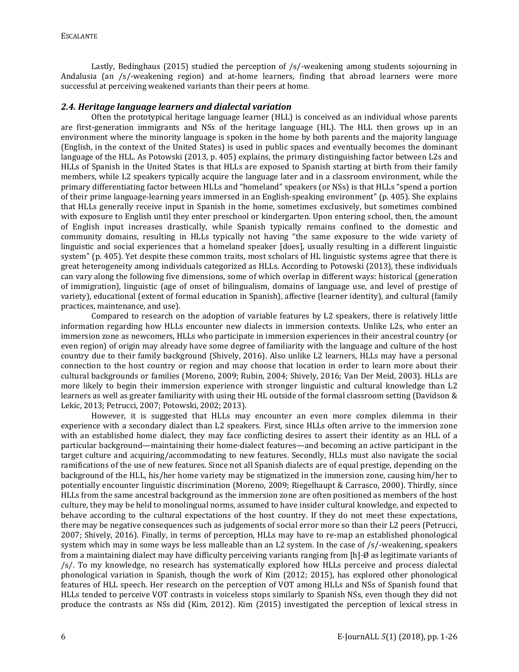Lastly, Bedinghaus (2015) studied the perception of /s/-weakening among students sojourning in Andalusia (an /s/-weakening region) and at-home learners, finding that abroad learners were more successful at perceiving weakened variants than their peers at home.

#### *2.4. Heritage language learners and dialectal variation*

Often the prototypical heritage language learner (HLL) is conceived as an individual whose parents are first-generation immigrants and NSs of the heritage language (HL). The HLL then grows up in an environment where the minority language is spoken in the home by both parents and the majority language (English, in the context of the United States) is used in public spaces and eventually becomes the dominant language of the HLL. As Potowski (2013, p. 405) explains, the primary distinguishing factor between L2s and HLLs of Spanish in the United States is that HLLs are exposed to Spanish starting at birth from their family members, while L2 speakers typically acquire the language later and in a classroom environment, while the primary differentiating factor between HLLs and "homeland" speakers (or NSs) is that HLLs "spend a portion of their prime language-learning years immersed in an English-speaking environment" (p. 405). She explains that HLLs generally receive input in Spanish in the home, sometimes exclusively, but sometimes combined with exposure to English until they enter preschool or kindergarten. Upon entering school, then, the amount of English input increases drastically, while Spanish typically remains confined to the domestic and community domains, resulting in HLLs typically not having "the same exposure to the wide variety of linguistic and social experiences that a homeland speaker [does], usually resulting in a different linguistic system" (p. 405). Yet despite these common traits, most scholars of HL linguistic systems agree that there is great heterogeneity among individuals categorized as HLLs. According to Potowski (2013), these individuals can vary along the following five dimensions, some of which overlap in different ways: historical (generation of immigration), linguistic (age of onset of bilingualism, domains of language use, and level of prestige of variety), educational (extent of formal education in Spanish), affective (learner identity), and cultural (family practices, maintenance, and use).

Compared to research on the adoption of variable features by L2 speakers, there is relatively little information regarding how HLLs encounter new dialects in immersion contexts. Unlike L2s, who enter an immersion zone as newcomers, HLLs who participate in immersion experiences in their ancestral country (or even region) of origin may already have some degree of familiarity with the language and culture of the host country due to their family background (Shively, 2016). Also unlike L2 learners, HLLs may have a personal connection to the host country or region and may choose that location in order to learn more about their cultural backgrounds or families (Moreno, 2009; Rubin, 2004; Shively, 2016; Van Der Meid, 2003). HLLs are more likely to begin their immersion experience with stronger linguistic and cultural knowledge than L2 learners as well as greater familiarity with using their HL outside of the formal classroom setting (Davidson & Lekic, 2013; Petrucci, 2007; Potowski, 2002; 2013).

However, it is suggested that HLLs may encounter an even more complex dilemma in their experience with a secondary dialect than L2 speakers. First, since HLLs often arrive to the immersion zone with an established home dialect, they may face conflicting desires to assert their identity as an HLL of a particular background—maintaining their home-dialect features—and becoming an active participant in the target culture and acquiring/accommodating to new features. Secondly, HLLs must also navigate the social ramifications of the use of new features. Since not all Spanish dialects are of equal prestige, depending on the background of the HLL, his/her home variety may be stigmatized in the immersion zone, causing him/her to potentially encounter linguistic discrimination (Moreno, 2009; Riegelhaupt & Carrasco, 2000). Thirdly, since HLLs from the same ancestral background as the immersion zone are often positioned as members of the host culture, they may be held to monolingual norms, assumed to have insider cultural knowledge, and expected to behave according to the cultural expectations of the host country. If they do not meet these expectations, there may be negative consequences such as judgements of social error more so than their L2 peers (Petrucci, 2007; Shively, 2016). Finally, in terms of perception, HLLs may have to re-map an established phonological system which may in some ways be less malleable than an L2 system. In the case of /s/-weakening, speakers from a maintaining dialect may have difficulty perceiving variants ranging from [h]-Ø as legitimate variants of /s/. To my knowledge, no research has systematically explored how HLLs perceive and process dialectal phonological variation in Spanish, though the work of Kim (2012; 2015), has explored other phonological features of HLL speech. Her research on the perception of VOT among HLLs and NSs of Spanish found that HLLs tended to perceive VOT contrasts in voiceless stops similarly to Spanish NSs, even though they did not produce the contrasts as NSs did (Kim, 2012). Kim (2015) investigated the perception of lexical stress in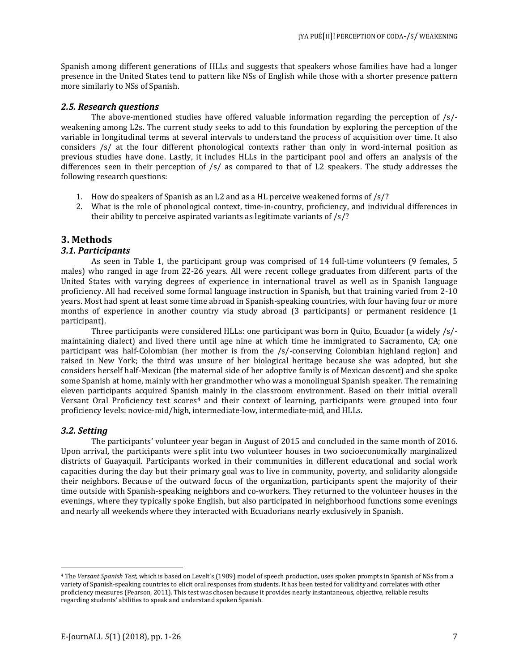Spanish among different generations of HLLs and suggests that speakers whose families have had a longer presence in the United States tend to pattern like NSs of English while those with a shorter presence pattern more similarly to NSs of Spanish.

#### *2.5. Research questions*

The above-mentioned studies have offered valuable information regarding the perception of  $\sqrt{s}$ . weakening among L2s. The current study seeks to add to this foundation by exploring the perception of the variable in longitudinal terms at several intervals to understand the process of acquisition over time. It also considers /s/ at the four different phonological contexts rather than only in word-internal position as previous studies have done. Lastly, it includes HLLs in the participant pool and offers an analysis of the differences seen in their perception of /s/ as compared to that of L2 speakers. The study addresses the following research questions:

- 1. How do speakers of Spanish as an L2 and as a HL perceive weakened forms of  $\frac{s}{?}$
- 2. What is the role of phonological context, time-in-country, proficiency, and individual differences in their ability to perceive aspirated variants as legitimate variants of /s/?

### **3. Methods**

#### *3.1. Participants*

As seen in Table 1, the participant group was comprised of 14 full-time volunteers (9 females, 5 males) who ranged in age from 22-26 years. All were recent college graduates from different parts of the United States with varying degrees of experience in international travel as well as in Spanish language proficiency. All had received some formal language instruction in Spanish, but that training varied from 2-10 years. Most had spent at least some time abroad in Spanish-speaking countries, with four having four or more months of experience in another country via study abroad (3 participants) or permanent residence (1 participant).

Three participants were considered HLLs: one participant was born in Quito, Ecuador (a widely /s/ maintaining dialect) and lived there until age nine at which time he immigrated to Sacramento, CA; one participant was half-Colombian (her mother is from the /s/-conserving Colombian highland region) and raised in New York; the third was unsure of her biological heritage because she was adopted, but she considers herself half-Mexican (the maternal side of her adoptive family is of Mexican descent) and she spoke some Spanish at home, mainly with her grandmother who was a monolingual Spanish speaker. The remaining eleven participants acquired Spanis[h](#page-6-0) mainly in the classroom environment. Based on their initial overall Versant Oral Proficiency test scores<sup>4</sup> and their context of learning, participants were grouped into four proficiency levels: novice-mid/high, intermediate-low, intermediate-mid, and HLLs.

#### *3.2. Setting*

 $\overline{\phantom{a}}$ 

The participants' volunteer year began in August of 2015 and concluded in the same month of 2016. Upon arrival, the participants were split into two volunteer houses in two socioeconomically marginalized districts of Guayaquil. Participants worked in their communities in different educational and social work capacities during the day but their primary goal was to live in community, poverty, and solidarity alongside their neighbors. Because of the outward focus of the organization, participants spent the majority of their time outside with Spanish-speaking neighbors and co-workers. They returned to the volunteer houses in the evenings, where they typically spoke English, but also participated in neighborhood functions some evenings and nearly all weekends where they interacted with Ecuadorians nearly exclusively in Spanish.

<span id="page-6-0"></span><sup>4</sup> The *Versant Spanish Test*, which is based on Levelt's (1989) model of speech production, uses spoken prompts in Spanish of NSs from a variety of Spanish-speaking countries to elicit oral responses from students. It has been tested for validity and correlates with other proficiency measures (Pearson, 2011). This test was chosen because it provides nearly instantaneous, objective, reliable results regarding students' abilities to speak and understand spoken Spanish.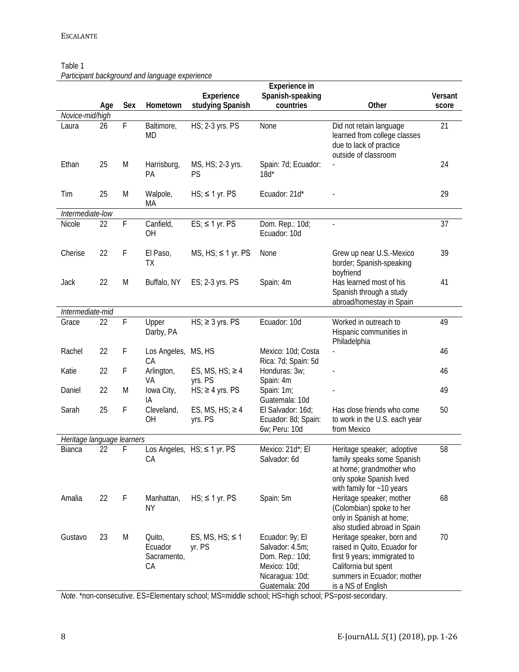## Table 1

*Participant background and language experience*

|                            |     |             |                                        | Experience                          | Experience in<br>Spanish-speaking                                                                          |                                                                                                                                                                        | Versant |
|----------------------------|-----|-------------|----------------------------------------|-------------------------------------|------------------------------------------------------------------------------------------------------------|------------------------------------------------------------------------------------------------------------------------------------------------------------------------|---------|
|                            | Age | Sex         | Hometown                               | studying Spanish                    | countries                                                                                                  | Other                                                                                                                                                                  | score   |
| Novice-mid/high<br>Laura   | 26  | F           | Baltimore,<br>MD                       | HS; 2-3 yrs. PS                     | None                                                                                                       | Did not retain language<br>learned from college classes<br>due to lack of practice<br>outside of classroom                                                             | 21      |
| Ethan                      | 25  | M           | Harrisburg,<br>PA                      | MS, HS; 2-3 yrs.<br>PS              | Spain: 7d; Ecuador:<br>$18d^*$                                                                             |                                                                                                                                                                        | 24      |
| Tim                        | 25  | M           | Walpole,<br>МA                         | $HS$ ; $\leq$ 1 yr. PS              | Ecuador: 21d*                                                                                              |                                                                                                                                                                        | 29      |
| Intermediate-low           |     |             |                                        |                                     |                                                                                                            |                                                                                                                                                                        |         |
| Nicole                     | 22  | F           | Canfield,<br>ΟH                        | $ES$ ; $\leq$ 1 yr. PS              | Dom. Rep.: 10d;<br>Ecuador: 10d                                                                            |                                                                                                                                                                        | 37      |
| Cherise                    | 22  | F           | El Paso,<br>TХ                         | $MS, HS$ ; $\leq 1$ yr. PS          | None                                                                                                       | Grew up near U.S.-Mexico<br>border; Spanish-speaking<br>boyfriend                                                                                                      | 39      |
| Jack                       | 22  | M           | Buffalo, NY                            | ES; 2-3 yrs. PS                     | Spain: 4m                                                                                                  | Has learned most of his<br>Spanish through a study<br>abroad/homestay in Spain                                                                                         | 41      |
| Intermediate-mid           |     |             |                                        |                                     |                                                                                                            |                                                                                                                                                                        |         |
| Grace                      | 22  | $\mathsf F$ | Upper<br>Darby, PA                     | $HS$ ; $\geq$ 3 yrs. PS             | Ecuador: 10d                                                                                               | Worked in outreach to<br>Hispanic communities in<br>Philadelphia                                                                                                       | 49      |
| Rachel                     | 22  | F           | Los Angeles,<br>СA                     | MS, HS                              | Mexico: 10d; Costa<br>Rica: 7d; Spain: 5d                                                                  |                                                                                                                                                                        | 46      |
| Katie                      | 22  | F           | Arlington,<br>VA                       | ES, MS, HS; $\geq 4$<br>yrs. PS     | Honduras: 3w;<br>Spain: 4m                                                                                 |                                                                                                                                                                        | 46      |
| Daniel                     | 22  | M           | lowa City,<br>ΙA                       | $HS$ ; $\geq$ 4 yrs. PS             | Spain: 1m;<br>Guatemala: 10d                                                                               |                                                                                                                                                                        | 49      |
| Sarah                      | 25  | F           | Cleveland,<br>ΟH                       | ES, MS, $HS$ ; $\geq 4$<br>yrs. PS  | El Salvador: 16d;<br>Ecuador: 8d; Spain:<br>6w; Peru: 10d                                                  | Has close friends who come<br>to work in the U.S. each year<br>from Mexico                                                                                             | 50      |
| Heritage language learners |     |             |                                        |                                     |                                                                                                            |                                                                                                                                                                        |         |
| Bianca                     | 22  | F           | СA                                     | Los Angeles, $HS$ : $\leq 1$ yr. PS | Mexico: 21d*; El<br>Salvador: 6d                                                                           | Heritage speaker; adoptive<br>family speaks some Spanish<br>at home; grandmother who<br>only spoke Spanish lived<br>with family for $~10$ years                        | 58      |
| Amalia                     | 22  | F           | Manhattan,<br>ΝY                       | $HS$ ; $\leq$ 1 yr. PS              | Spain: 5m                                                                                                  | Heritage speaker; mother<br>(Colombian) spoke to her<br>only in Spanish at home;<br>also studied abroad in Spain                                                       | 68      |
| Gustavo                    | 23  | M           | Quito,<br>Ecuador<br>Sacramento,<br>CA | ES, MS, $HS$ ; $\leq$ 1<br>yr. PS   | Ecuador: 9y; El<br>Salvador: 4.5m;<br>Dom. Rep.: 10d;<br>Mexico: 10d;<br>Nicaragua: 10d;<br>Guatemala: 20d | Heritage speaker, born and<br>raised in Quito, Ecuador for<br>first 9 years; immigrated to<br>California but spent<br>summers in Ecuador; mother<br>is a NS of English | 70      |

*Note*. \*non-consecutive. ES=Elementary school; MS=middle school; HS=high school; PS=post-secondary.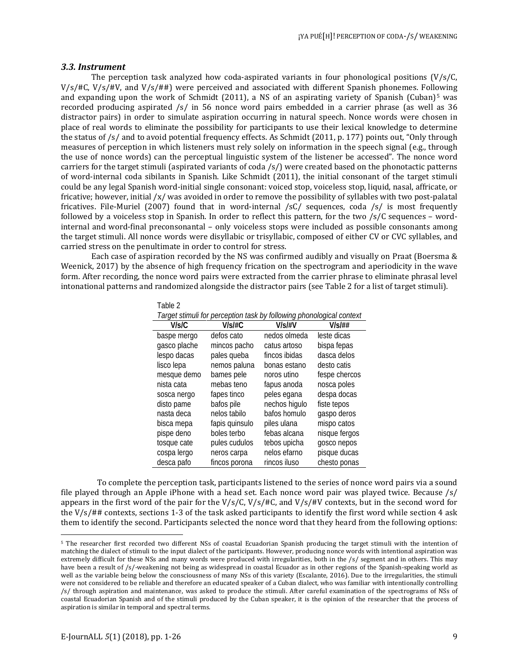#### *3.3. Instrument*

The perception task analyzed how coda-aspirated variants in four phonological positions  $(V/s/C,$ V/s/#C, V/s/#V, and V/s/##) were perceived and associated with different Spanish phonemes. Following and expanding upon the work of Schmidt (2011), a NS of an aspirating variety of Spanish (Cuban)<sup>[5](#page-8-0)</sup> was recorded producing aspirated /s/ in 56 nonce word pairs embedded in a carrier phrase (as well as 36 distractor pairs) in order to simulate aspiration occurring in natural speech. Nonce words were chosen in place of real words to eliminate the possibility for participants to use their lexical knowledge to determine the status of /s/ and to avoid potential frequency effects. As Schmidt (2011, p. 177) points out, "Only through measures of perception in which listeners must rely solely on information in the speech signal (e.g., through the use of nonce words) can the perceptual linguistic system of the listener be accessed". The nonce word carriers for the target stimuli (aspirated variants of coda /s/) were created based on the phonotactic patterns of word-internal coda sibilants in Spanish. Like Schmidt (2011), the initial consonant of the target stimuli could be any legal Spanish word-initial single consonant: voiced stop, voiceless stop, liquid, nasal, affricate, or fricative; however, initial /x/ was avoided in order to remove the possibility of syllables with two post-palatal fricatives. File-Muriel (2007) found that in word-internal /sC/ sequences, coda /s/ is most frequently followed by a voiceless stop in Spanish. In order to reflect this pattern, for the two /s/C sequences – wordinternal and word-final preconsonantal – only voiceless stops were included as possible consonants among the target stimuli. All nonce words were disyllabic or trisyllabic, composed of either CV or CVC syllables, and carried stress on the penultimate in order to control for stress.

Each case of aspiration recorded by the NS was confirmed audibly and visually on Praat (Boersma & Weenick, 2017) by the absence of high frequency frication on the spectrogram and aperiodicity in the wave form. After recording, the nonce word pairs were extracted from the carrier phrase to eliminate phrasal level intonational patterns and randomized alongside the distractor pairs (see Table 2 for a list of target stimuli).

Table 2

| Target stimuli for perception task by following phonological context |                |               |               |  |  |  |
|----------------------------------------------------------------------|----------------|---------------|---------------|--|--|--|
| V/s/C                                                                | $V/s$ /#C      | $V/s$ /#V     | $V/s$ /##     |  |  |  |
| baspe mergo                                                          | defos cato     | nedos olmeda  | leste dicas   |  |  |  |
| gasco plache                                                         | mincos pacho   | catus artoso  | bispa fepas   |  |  |  |
| lespo dacas                                                          | pales queba    | fincos ibidas | dasca delos   |  |  |  |
| lisco lepa                                                           | nemos paluna   | bonas estano  | desto catis   |  |  |  |
| mesque demo                                                          | bames pele     | noros utino   | fespe chercos |  |  |  |
| nista cata                                                           | mebas teno     | fapus anoda   | nosca poles   |  |  |  |
| sosca nergo                                                          | fapes tinco    | peles egana   | despa docas   |  |  |  |
| disto pame                                                           | bafos pile     | nechos higulo | fiste tepos   |  |  |  |
| nasta deca                                                           | nelos tabilo   | bafos homulo  | gaspo deros   |  |  |  |
| bisca mepa                                                           | fapis quinsulo | piles ulana   | mispo catos   |  |  |  |
| pispe deno                                                           | boles terbo    | febas alcana  | nisque fergos |  |  |  |
| tosque cate                                                          | pules cudulos  | tebos upicha  | gosco nepos   |  |  |  |
| cospa lergo                                                          | neros carpa    | nelos efarno  | pisque ducas  |  |  |  |
| desca pafo                                                           | fincos porona  | rincos iluso  | chesto ponas  |  |  |  |

To complete the perception task, participants listened to the series of nonce word pairs via a sound file played through an Apple iPhone with a head set. Each nonce word pair was played twice. Because /s/ appears in the first word of the pair for the  $V/s/C$ ,  $V/s/#C$ , and  $V/s/#V$  contexts, but in the second word for the V/s/## contexts, sections 1-3 of the task asked participants to identify the first word while section 4 ask them to identify the second. Participants selected the nonce word that they heard from the following options:

 $\overline{a}$ 

<span id="page-8-0"></span><sup>5</sup> The researcher first recorded two different NSs of coastal Ecuadorian Spanish producing the target stimuli with the intention of matching the dialect of stimuli to the input dialect of the participants. However, producing nonce words with intentional aspiration was extremely difficult for these NSs and many words were produced with irregularities, both in the /s/ segment and in others. This may have been a result of /s/-weakening not being as widespread in coastal Ecuador as in other regions of the Spanish-speaking world as well as the variable being below the consciousness of many NSs of this variety (Escalante, 2016). Due to the irregularities, the stimuli were not considered to be reliable and therefore an educated speaker of a Cuban dialect, who was familiar with intentionally controlling /s/ through aspiration and maintenance, was asked to produce the stimuli. After careful examination of the spectrograms of NSs of coastal Ecuadorian Spanish and of the stimuli produced by the Cuban speaker, it is the opinion of the researcher that the process of aspiration is similar in temporal and spectral terms.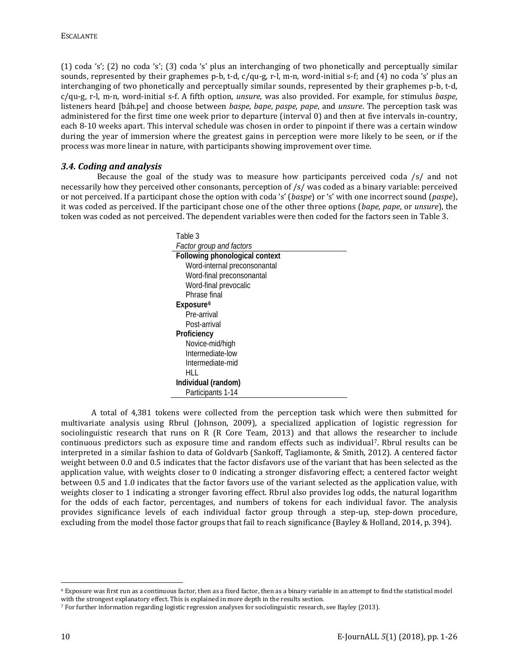(1) coda 's'; (2) no coda 's'; (3) coda 's' plus an interchanging of two phonetically and perceptually similar sounds, represented by their graphemes p-b, t-d, c/qu-g, r-l, m-n, word-initial s-f; and (4) no coda 's' plus an interchanging of two phonetically and perceptually similar sounds, represented by their graphemes p-b, t-d, c/qu-g, r-l, m-n, word-initial s-f. A fifth option, *unsure*, was also provided. For example, for stimulus *baspe*, listeners heard [báh.pe] and choose between *baspe*, *bape*, *paspe*, *pape*, and *unsure*. The perception task was administered for the first time one week prior to departure (interval 0) and then at five intervals in-country, each 8-10 weeks apart. This interval schedule was chosen in order to pinpoint if there was a certain window during the year of immersion where the greatest gains in perception were more likely to be seen, or if the process was more linear in nature, with participants showing improvement over time.

### *3.4. Coding and analysis*

Because the goal of the study was to measure how participants perceived coda /s/ and not necessarily how they perceived other consonants, perception of /s/ was coded as a binary variable: perceived or not perceived. If a participant chose the option with coda 's' (*baspe*) or 's' with one incorrect sound (*paspe*), it was coded as perceived. If the participant chose one of the other three options (*bape*, *pape*, or *unsure*), the token was coded as not perceived. The dependent variables were then coded for the factors seen in Table 3.

| Table 3                         |
|---------------------------------|
| <b>Factor group and factors</b> |
| Following phonological context  |
| Word-internal preconsonantal    |
| Word-final preconsonantal       |
| Word-final prevocalic           |
| Phrase final                    |
| Exposure <sup>6</sup>           |
| Pre-arrival                     |
| Post-arrival                    |
| Proficiency                     |
| Novice-mid/high                 |
| Intermediate-low                |
| Intermediate-mid                |
| HLL.                            |
| Individual (random)             |
| Participants 1-14               |

A total of 4,381 tokens were collected from the perception task which were then submitted for multivariate analysis using Rbrul (Johnson, 2009), a specialized application of logistic regression for sociolinguistic research that runs on R (R Core Team, 2013) and that allows the researcher to include continuous predictors such as exposure time and random effects such as individual<sup>[7](#page-9-1)</sup>. Rbrul results can be interpreted in a similar fashion to data of Goldvarb (Sankoff, Tagliamonte, & Smith, 2012). A centered factor weight between 0.0 and 0.5 indicates that the factor disfavors use of the variant that has been selected as the application value, with weights closer to 0 indicating a stronger disfavoring effect; a centered factor weight between 0.5 and 1.0 indicates that the factor favors use of the variant selected as the application value, with weights closer to 1 indicating a stronger favoring effect. Rbrul also provides log odds, the natural logarithm for the odds of each factor, percentages, and numbers of tokens for each individual favor. The analysis provides significance levels of each individual factor group through a step-up, step-down procedure, excluding from the model those factor groups that fail to reach significance (Bayley & Holland, 2014, p. 394).

 $\overline{a}$ 

<span id="page-9-0"></span><sup>6</sup> Exposure was first run as a continuous factor, then as a fixed factor, then as a binary variable in an attempt to find the statistical model with the strongest explanatory effect. This is explained in more depth in the results section.

<span id="page-9-1"></span><sup>7</sup> For further information regarding logistic regression analyses for sociolinguistic research, see Bayley (2013).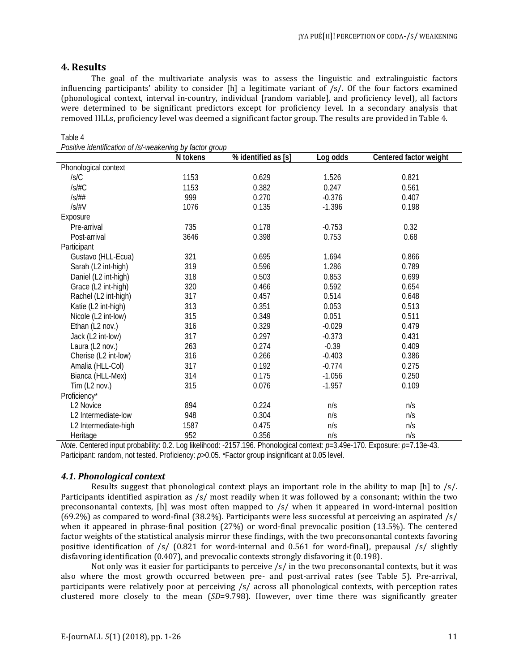### **4. Results**

Table 4

The goal of the multivariate analysis was to assess the linguistic and extralinguistic factors influencing participants' ability to consider  $[h]$  a legitimate variant of /s/. Of the four factors examined (phonological context, interval in-country, individual [random variable], and proficiency level), all factors were determined to be significant predictors except for proficiency level. In a secondary analysis that removed HLLs, proficiency level was deemed a significant factor group. The results are provided in Table 4.

|                         | N tokens | % identified as [s] | Log odds | Centered factor weight |
|-------------------------|----------|---------------------|----------|------------------------|
| Phonological context    |          |                     |          |                        |
| /s/C                    | 1153     | 0.629               | 1.526    | 0.821                  |
| IS/HC                   | 1153     | 0.382               | 0.247    | 0.561                  |
| IS/H#                   | 999      | 0.270               | $-0.376$ | 0.407                  |
| /s/#V                   | 1076     | 0.135               | $-1.396$ | 0.198                  |
| Exposure                |          |                     |          |                        |
| Pre-arrival             | 735      | 0.178               | $-0.753$ | 0.32                   |
| Post-arrival            | 3646     | 0.398               | 0.753    | 0.68                   |
| Participant             |          |                     |          |                        |
| Gustavo (HLL-Ecua)      | 321      | 0.695               | 1.694    | 0.866                  |
| Sarah (L2 int-high)     | 319      | 0.596               | 1.286    | 0.789                  |
| Daniel (L2 int-high)    | 318      | 0.503               | 0.853    | 0.699                  |
| Grace (L2 int-high)     | 320      | 0.466               | 0.592    | 0.654                  |
| Rachel (L2 int-high)    | 317      | 0.457               | 0.514    | 0.648                  |
| Katie (L2 int-high)     | 313      | 0.351               | 0.053    | 0.513                  |
| Nicole (L2 int-low)     | 315      | 0.349               | 0.051    | 0.511                  |
| Ethan (L2 nov.)         | 316      | 0.329               | $-0.029$ | 0.479                  |
| Jack (L2 int-low)       | 317      | 0.297               | $-0.373$ | 0.431                  |
| Laura (L2 nov.)         | 263      | 0.274               | $-0.39$  | 0.409                  |
| Cherise (L2 int-low)    | 316      | 0.266               | $-0.403$ | 0.386                  |
| Amalia (HLL-Col)        | 317      | 0.192               | $-0.774$ | 0.275                  |
| Bianca (HLL-Mex)        | 314      | 0.175               | $-1.056$ | 0.250                  |
| Tim $(L2 \text{ nov.})$ | 315      | 0.076               | $-1.957$ | 0.109                  |
| Proficiency*            |          |                     |          |                        |
| L2 Novice               | 894      | 0.224               | n/s      | n/s                    |
| L2 Intermediate-low     | 948      | 0.304               | n/s      | n/s                    |
| L2 Intermediate-high    | 1587     | 0.475               | n/s      | n/s                    |
| Heritage                | 952      | 0.356               | n/s      | n/s                    |

*Positive identification of /s/-weakening by factor group*

*Note*. Centered input probability: 0.2. Log likelihood: -2157.196. Phonological context: *p*=3.49e-170. Exposure: *p*=7.13e-43. Participant: random, not tested. Proficiency:  $p > 0.05$ . \*Factor group insignificant at 0.05 level.

### *4.1. Phonological context*

Results suggest that phonological context plays an important role in the ability to map [h] to /s/. Participants identified aspiration as /s/ most readily when it was followed by a consonant; within the two preconsonantal contexts, [h] was most often mapped to /s/ when it appeared in word-internal position (69.2%) as compared to word-final (38.2%). Participants were less successful at perceiving an aspirated /s/ when it appeared in phrase-final position (27%) or word-final prevocalic position (13.5%). The centered factor weights of the statistical analysis mirror these findings, with the two preconsonantal contexts favoring positive identification of /s/ (0.821 for word-internal and 0.561 for word-final), prepausal /s/ slightly disfavoring identification (0.407), and prevocalic contexts strongly disfavoring it (0.198).

Not only was it easier for participants to perceive /s/ in the two preconsonantal contexts, but it was also where the most growth occurred between pre- and post-arrival rates (see Table 5). Pre-arrival, participants were relatively poor at perceiving /s/ across all phonological contexts, with perception rates clustered more closely to the mean (*SD*=9.798). However, over time there was significantly greater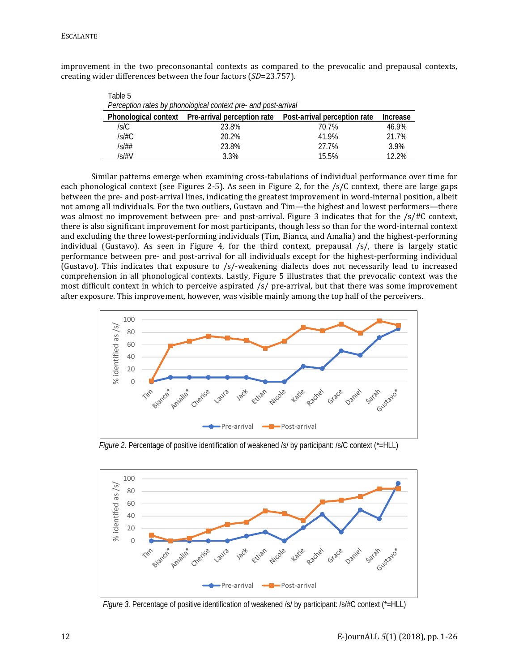| Table 5                                                                                            |       |       |       |  |  |  |  |
|----------------------------------------------------------------------------------------------------|-------|-------|-------|--|--|--|--|
| Perception rates by phonological context pre- and post-arrival                                     |       |       |       |  |  |  |  |
| Phonological context  Pre-arrival perception rate  Post-arrival perception rate<br><b>Increase</b> |       |       |       |  |  |  |  |
| /s/C                                                                                               | 23.8% | 70.7% | 46.9% |  |  |  |  |
| /s/#C                                                                                              | 20.2% | 41.9% | 21.7% |  |  |  |  |
| /s/##                                                                                              | 23.8% | 27.7% | 3.9%  |  |  |  |  |
| /s/#V                                                                                              | 3.3%  | 15.5% | 12.2% |  |  |  |  |

improvement in the two preconsonantal contexts as compared to the prevocalic and prepausal contexts, creating wider differences between the four factors (*SD*=23.757).

Similar patterns emerge when examining cross-tabulations of individual performance over time for each phonological context (see Figures 2-5). As seen in Figure 2, for the /s/C context, there are large gaps between the pre- and post-arrival lines, indicating the greatest improvement in word-internal position, albeit not among all individuals. For the two outliers, Gustavo and Tim—the highest and lowest performers—there was almost no improvement between pre- and post-arrival. Figure 3 indicates that for the /s/#C context, there is also significant improvement for most participants, though less so than for the word-internal context and excluding the three lowest-performing individuals (Tim, Bianca, and Amalia) and the highest-performing individual (Gustavo). As seen in Figure 4, for the third context, prepausal /s/, there is largely static performance between pre- and post-arrival for all individuals except for the highest-performing individual (Gustavo). This indicates that exposure to /s/-weakening dialects does not necessarily lead to increased comprehension in all phonological contexts. Lastly, Figure 5 illustrates that the prevocalic context was the most difficult context in which to perceive aspirated /s/ pre-arrival, but that there was some improvement after exposure. This improvement, however, was visible mainly among the top half of the perceivers.



*Figure 2.* Percentage of positive identification of weakened /s/ by participant: /s/C context (\*=HLL)



*Figure 3.* Percentage of positive identification of weakened /s/ by participant: /s/#C context (\*=HLL)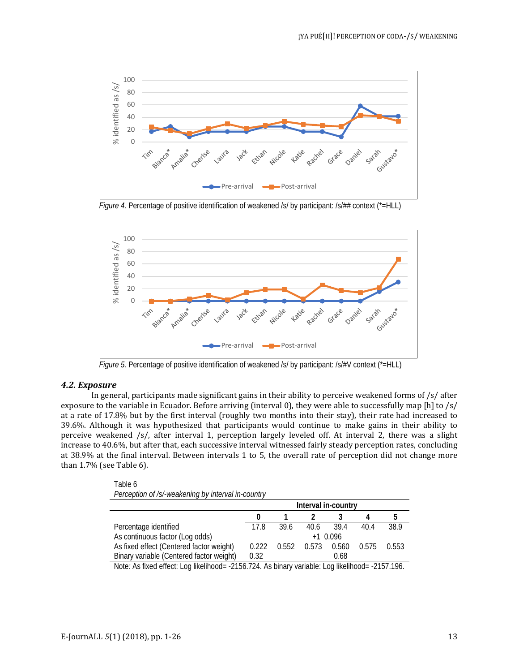

*Figure 4.* Percentage of positive identification of weakened /s/ by participant: /s/## context (\*=HLL)



*Figure 5.* Percentage of positive identification of weakened /s/ by participant: /s/#V context (\*=HLL)

#### *4.2. Exposure*

In general, participants made significant gains in their ability to perceive weakened forms of /s/ after exposure to the variable in Ecuador. Before arriving (interval 0), they were able to successfully map [h] to /s/ at a rate of 17.8% but by the first interval (roughly two months into their stay), their rate had increased to 39.6%. Although it was hypothesized that participants would continue to make gains in their ability to perceive weakened /s/, after interval 1, perception largely leveled off. At interval 2, there was a slight increase to 40.6%, but after that, each successive interval witnessed fairly steady perception rates, concluding at 38.9% at the final interval. Between intervals 1 to 5, the overall rate of perception did not change more than 1.7% (see Table 6).

Table 6 *Perception of /s/-weakening by interval in-country*

|                                          | Interval in-country |       |       |           |       |       |
|------------------------------------------|---------------------|-------|-------|-----------|-------|-------|
|                                          |                     |       |       |           |       |       |
| Percentage identified                    | 178                 | 39.6  | 40.6  | 39.4      | 40.4  | 38.9  |
| As continuous factor (Log odds)          |                     |       |       | $+10.096$ |       |       |
| As fixed effect (Centered factor weight) | 0.222               | 0.552 | 0.573 | 0.560     | 0.575 | 0.553 |
| Binary variable (Centered factor weight) | 0.32                |       |       | 0.68      |       |       |

Note: As fixed effect: Log likelihood= -2156.724. As binary variable: Log likelihood= -2157.196.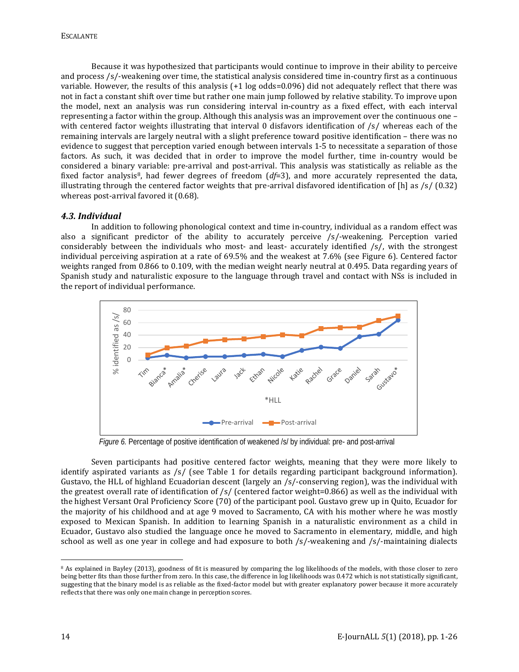Because it was hypothesized that participants would continue to improve in their ability to perceive and process /s/-weakening over time, the statistical analysis considered time in-country first as a continuous variable. However, the results of this analysis (+1 log odds=0.096) did not adequately reflect that there was not in fact a constant shift over time but rather one main jump followed by relative stability. To improve upon the model, next an analysis was run considering interval in-country as a fixed effect, with each interval representing a factor within the group. Although this analysis was an improvement over the continuous one – with centered factor weights illustrating that interval 0 disfavors identification of  $/s/$  whereas each of the remaining intervals are largely neutral with a slight preference toward positive identification – there was no evidence to suggest that perception varied enough between intervals 1-5 to necessitate a separation of those factors. As such, it was decided that in order to improve the model further, time in-country would be considered a binary variable: pre-arrival and post-arrival. This analysis was statistically as reliable as the fixed factor analysis[8,](#page-13-0) had fewer degrees of freedom (*df*=3), and more accurately represented the data, illustrating through the centered factor weights that pre-arrival disfavored identification of [h] as /s/ (0.32) whereas post-arrival favored it (0.68).

### *4.3. Individual*

In addition to following phonological context and time in-country, individual as a random effect was also a significant predictor of the ability to accurately perceive /s/-weakening. Perception varied considerably between the individuals who most- and least- accurately identified /s/, with the strongest individual perceiving aspiration at a rate of 69.5% and the weakest at 7.6% (see Figure 6). Centered factor weights ranged from 0.866 to 0.109, with the median weight nearly neutral at 0.495. Data regarding years of Spanish study and naturalistic exposure to the language through travel and contact with NSs is included in the report of individual performance.



*Figure 6.* Percentage of positive identification of weakened /s/ by individual: pre- and post-arrival

Seven participants had positive centered factor weights, meaning that they were more likely to identify aspirated variants as /s/ (see Table 1 for details regarding participant background information). Gustavo, the HLL of highland Ecuadorian descent (largely an /s/-conserving region), was the individual with the greatest overall rate of identification of /s/ (centered factor weight=0.866) as well as the individual with the highest Versant Oral Proficiency Score (70) of the participant pool. Gustavo grew up in Quito, Ecuador for the majority of his childhood and at age 9 moved to Sacramento, CA with his mother where he was mostly exposed to Mexican Spanish. In addition to learning Spanish in a naturalistic environment as a child in Ecuador, Gustavo also studied the language once he moved to Sacramento in elementary, middle, and high school as well as one year in college and had exposure to both /s/-weakening and /s/-maintaining dialects

 $\overline{\phantom{a}}$ 

<span id="page-13-0"></span><sup>&</sup>lt;sup>8</sup> As explained in Bayley (2013), goodness of fit is measured by comparing the log likelihoods of the models, with those closer to zero being better fits than those further from zero. In this case, the difference in log likelihoods was 0.472 which is not statistically significant, suggesting that the binary model is as reliable as the fixed-factor model but with greater explanatory power because it more accurately reflects that there was only one main change in perception scores.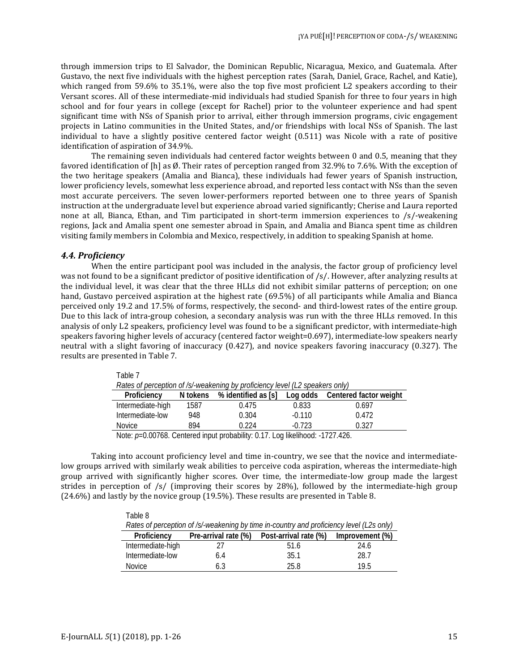through immersion trips to El Salvador, the Dominican Republic, Nicaragua, Mexico, and Guatemala. After Gustavo, the next five individuals with the highest perception rates (Sarah, Daniel, Grace, Rachel, and Katie), which ranged from 59.6% to 35.1%, were also the top five most proficient L2 speakers according to their Versant scores. All of these intermediate-mid individuals had studied Spanish for three to four years in high school and for four years in college (except for Rachel) prior to the volunteer experience and had spent significant time with NSs of Spanish prior to arrival, either through immersion programs, civic engagement projects in Latino communities in the United States, and/or friendships with local NSs of Spanish. The last individual to have a slightly positive centered factor weight (0.511) was Nicole with a rate of positive identification of aspiration of 34.9%.

The remaining seven individuals had centered factor weights between 0 and 0.5, meaning that they favored identification of [h] as Ø. Their rates of perception ranged from 32.9% to 7.6%. With the exception of the two heritage speakers (Amalia and Bianca), these individuals had fewer years of Spanish instruction, lower proficiency levels, somewhat less experience abroad, and reported less contact with NSs than the seven most accurate perceivers. The seven lower-performers reported between one to three years of Spanish instruction at the undergraduate level but experience abroad varied significantly; Cherise and Laura reported none at all, Bianca, Ethan, and Tim participated in short-term immersion experiences to /s/-weakening regions, Jack and Amalia spent one semester abroad in Spain, and Amalia and Bianca spent time as children visiting family members in Colombia and Mexico, respectively, in addition to speaking Spanish at home.

#### *4.4. Proficiency*

Table 7

 $\pm$   $\pm$   $\pm$ 

When the entire participant pool was included in the analysis, the factor group of proficiency level was not found to be a significant predictor of positive identification of /s/. However, after analyzing results at the individual level, it was clear that the three HLLs did not exhibit similar patterns of perception; on one hand, Gustavo perceived aspiration at the highest rate (69.5%) of all participants while Amalia and Bianca perceived only 19.2 and 17.5% of forms, respectively, the second- and third-lowest rates of the entire group. Due to this lack of intra-group cohesion, a secondary analysis was run with the three HLLs removed. In this analysis of only L2 speakers, proficiency level was found to be a significant predictor, with intermediate-high speakers favoring higher levels of accuracy (centered factor weight=0.697), intermediate-low speakers nearly neutral with a slight favoring of inaccuracy (0.427), and novice speakers favoring inaccuracy (0.327). The results are presented in Table 7.

| .                                                                                                                                                                                                                                 |          |                     |          |                                 |  |  |
|-----------------------------------------------------------------------------------------------------------------------------------------------------------------------------------------------------------------------------------|----------|---------------------|----------|---------------------------------|--|--|
| Rates of perception of /s/-weakening by proficiency level (L2 speakers only)                                                                                                                                                      |          |                     |          |                                 |  |  |
| Proficiency                                                                                                                                                                                                                       | N tokens | % identified as [s] |          | Log odds Centered factor weight |  |  |
| Intermediate-high                                                                                                                                                                                                                 | 1587     | 0.475               | 0.833    | 0.697                           |  |  |
| Intermediate-low                                                                                                                                                                                                                  | 948      | 0.304               | $-0.110$ | 0.472                           |  |  |
| <b>Novice</b>                                                                                                                                                                                                                     | 894      | 0.224               | $-0.723$ | 0.327                           |  |  |
| $\mathbf{M}$ , and a set of the set of the set of the set of the set of the set of the set of the set of the set of the set of the set of the set of the set of the set of the set of the set of the set of the set of the set of |          |                     |          |                                 |  |  |

Note:  $p=0.00768$ . Centered input probability: 0.17. Log likelihood: -1727.426.

Taking into account proficiency level and time in-country, we see that the novice and intermediatelow groups arrived with similarly weak abilities to perceive coda aspiration, whereas the intermediate-high group arrived with significantly higher scores. Over time, the intermediate-low group made the largest strides in perception of /s/ (improving their scores by 28%), followed by the intermediate-high group (24.6%) and lastly by the novice group (19.5%). These results are presented in Table 8.

| rapie 8                                                                                  |                      |                       |                 |  |  |  |
|------------------------------------------------------------------------------------------|----------------------|-----------------------|-----------------|--|--|--|
| Rates of perception of /s/-weakening by time in-country and proficiency level (L2s only) |                      |                       |                 |  |  |  |
| Proficiency                                                                              | Pre-arrival rate (%) | Post-arrival rate (%) | Improvement (%) |  |  |  |
| Intermediate-high                                                                        |                      | 51.6                  | 24.6            |  |  |  |
| Intermediate-low                                                                         | 6.4                  | 35.1                  | 28.7            |  |  |  |
| Novice                                                                                   | 6.3                  | 25 R                  | 19 5            |  |  |  |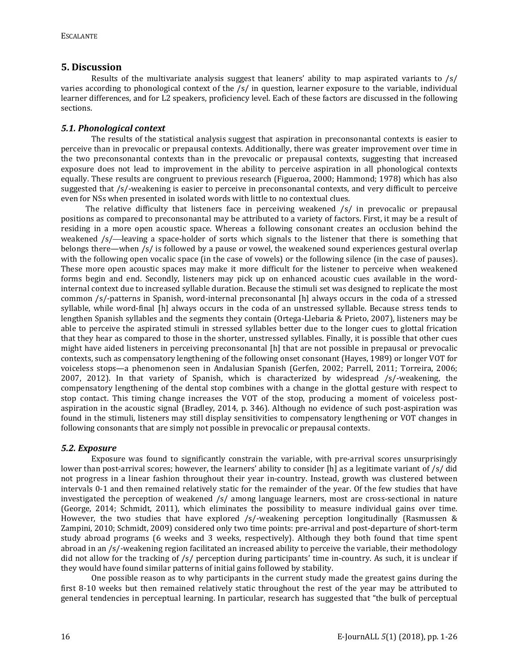### **5. Discussion**

Results of the multivariate analysis suggest that leaners' ability to map aspirated variants to  $\frac{s}{s}$ varies according to phonological context of the /s/ in question, learner exposure to the variable, individual learner differences, and for L2 speakers, proficiency level. Each of these factors are discussed in the following sections.

### *5.1. Phonological context*

The results of the statistical analysis suggest that aspiration in preconsonantal contexts is easier to perceive than in prevocalic or prepausal contexts. Additionally, there was greater improvement over time in the two preconsonantal contexts than in the prevocalic or prepausal contexts, suggesting that increased exposure does not lead to improvement in the ability to perceive aspiration in all phonological contexts equally. These results are congruent to previous research (Figueroa, 2000; Hammond; 1978) which has also suggested that /s/-weakening is easier to perceive in preconsonantal contexts, and very difficult to perceive even for NSs when presented in isolated words with little to no contextual clues.

 The relative difficulty that listeners face in perceiving weakened /s/ in prevocalic or prepausal positions as compared to preconsonantal may be attributed to a variety of factors. First, it may be a result of residing in a more open acoustic space. Whereas a following consonant creates an occlusion behind the weakened  $/s$ —leaving a space-holder of sorts which signals to the listener that there is something that belongs there—when /s/ is followed by a pause or vowel, the weakened sound experiences gestural overlap with the following open vocalic space (in the case of vowels) or the following silence (in the case of pauses). These more open acoustic spaces may make it more difficult for the listener to perceive when weakened forms begin and end. Secondly, listeners may pick up on enhanced acoustic cues available in the wordinternal context due to increased syllable duration. Because the stimuli set was designed to replicate the most common /s/-patterns in Spanish, word-internal preconsonantal [h] always occurs in the coda of a stressed syllable, while word-final [h] always occurs in the coda of an unstressed syllable. Because stress tends to lengthen Spanish syllables and the segments they contain (Ortega-Llebaria & Prieto, 2007), listeners may be able to perceive the aspirated stimuli in stressed syllables better due to the longer cues to glottal frication that they hear as compared to those in the shorter, unstressed syllables. Finally, it is possible that other cues might have aided listeners in perceiving preconsonantal [h] that are not possible in prepausal or prevocalic contexts, such as compensatory lengthening of the following onset consonant (Hayes, 1989) or longer VOT for voiceless stops—a phenomenon seen in Andalusian Spanish (Gerfen, 2002; Parrell, 2011; Torreira, 2006; 2007, 2012). In that variety of Spanish, which is characterized by widespread /s/-weakening, the compensatory lengthening of the dental stop combines with a change in the glottal gesture with respect to stop contact. This timing change increases the VOT of the stop, producing a moment of voiceless postaspiration in the acoustic signal (Bradley, 2014, p. 346). Although no evidence of such post-aspiration was found in the stimuli, listeners may still display sensitivities to compensatory lengthening or VOT changes in following consonants that are simply not possible in prevocalic or prepausal contexts.

### *5.2. Exposure*

Exposure was found to significantly constrain the variable, with pre-arrival scores unsurprisingly lower than post-arrival scores; however, the learners' ability to consider [h] as a legitimate variant of /s/ did not progress in a linear fashion throughout their year in-country. Instead, growth was clustered between intervals 0-1 and then remained relatively static for the remainder of the year. Of the few studies that have investigated the perception of weakened /s/ among language learners, most are cross-sectional in nature (George, 2014; Schmidt, 2011), which eliminates the possibility to measure individual gains over time. However, the two studies that have explored /s/-weakening perception longitudinally (Rasmussen & Zampini, 2010; Schmidt, 2009) considered only two time points: pre-arrival and post-departure of short-term study abroad programs (6 weeks and 3 weeks, respectively). Although they both found that time spent abroad in an /s/-weakening region facilitated an increased ability to perceive the variable, their methodology did not allow for the tracking of /s/ perception during participants' time in-country. As such, it is unclear if they would have found similar patterns of initial gains followed by stability.

One possible reason as to why participants in the current study made the greatest gains during the first 8-10 weeks but then remained relatively static throughout the rest of the year may be attributed to general tendencies in perceptual learning. In particular, research has suggested that "the bulk of perceptual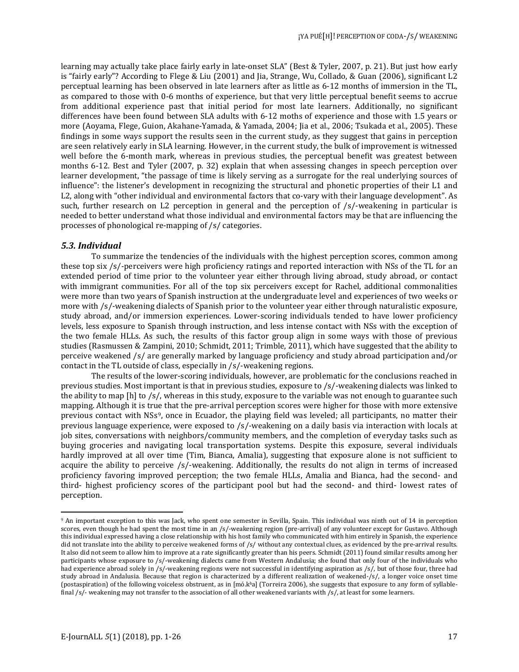learning may actually take place fairly early in late-onset SLA" (Best & Tyler, 2007, p. 21). But just how early is "fairly early"? According to Flege & Liu (2001) and Jia, Strange, Wu, Collado, & Guan (2006), significant L2 perceptual learning has been observed in late learners after as little as 6-12 months of immersion in the TL, as compared to those with 0-6 months of experience, but that very little perceptual benefit seems to accrue from additional experience past that initial period for most late learners. Additionally, no significant differences have been found between SLA adults with 6-12 moths of experience and those with 1.5 years or more (Aoyama, Flege, Guion, Akahane-Yamada, & Yamada, 2004; Jia et al., 2006; Tsukada et al., 2005). These findings in some ways support the results seen in the current study, as they suggest that gains in perception are seen relatively early in SLA learning. However, in the current study, the bulk of improvement is witnessed well before the 6-month mark, whereas in previous studies, the perceptual benefit was greatest between months 6-12. Best and Tyler (2007, p. 32) explain that when assessing changes in speech perception over learner development, "the passage of time is likely serving as a surrogate for the real underlying sources of influence": the listener's development in recognizing the structural and phonetic properties of their L1 and L2, along with "other individual and environmental factors that co-vary with their language development". As such, further research on L2 perception in general and the perception of /s/-weakening in particular is needed to better understand what those individual and environmental factors may be that are influencing the processes of phonological re-mapping of /s/ categories.

#### *5.3. Individual*

 $\overline{\phantom{a}}$ 

To summarize the tendencies of the individuals with the highest perception scores, common among these top six /s/-perceivers were high proficiency ratings and reported interaction with NSs of the TL for an extended period of time prior to the volunteer year either through living abroad, study abroad, or contact with immigrant communities. For all of the top six perceivers except for Rachel, additional commonalities were more than two years of Spanish instruction at the undergraduate level and experiences of two weeks or more with /s/-weakening dialects of Spanish prior to the volunteer year either through naturalistic exposure, study abroad, and/or immersion experiences. Lower-scoring individuals tended to have lower proficiency levels, less exposure to Spanish through instruction, and less intense contact with NSs with the exception of the two female HLLs. As such, the results of this factor group align in some ways with those of previous studies (Rasmussen & Zampini, 2010; Schmidt, 2011; Trimble, 2011), which have suggested that the ability to perceive weakened /s/ are generally marked by language proficiency and study abroad participation and/or contact in the TL outside of class, especially in /s/-weakening regions.

The results of the lower-scoring individuals, however, are problematic for the conclusions reached in previous studies. Most important is that in previous studies, exposure to /s/-weakening dialects was linked to the ability to map [h] to /s/, whereas in this study, exposure to the variable was not enough to guarantee such mapping. Although it is true that the pre-arrival perception scores were higher for those with more extensive previous contact with NSs<sup>[9](#page-16-0)</sup>, once in Ecuador, the playing field was leveled; all participants, no matter their previous language experience, were exposed to /s/-weakening on a daily basis via interaction with locals at job sites, conversations with neighbors/community members, and the completion of everyday tasks such as buying groceries and navigating local transportation systems. Despite this exposure, several individuals hardly improved at all over time (Tim, Bianca, Amalia), suggesting that exposure alone is not sufficient to acquire the ability to perceive /s/-weakening. Additionally, the results do not align in terms of increased proficiency favoring improved perception; the two female HLLs, Amalia and Bianca, had the second- and third- highest proficiency scores of the participant pool but had the second- and third- lowest rates of perception.

<span id="page-16-0"></span><sup>9</sup> An important exception to this was Jack, who spent one semester in Sevilla, Spain. This individual was ninth out of 14 in perception scores, even though he had spent the most time in an /s/-weakening region (pre-arrival) of any volunteer except for Gustavo. Although this individual expressed having a close relationship with his host family who communicated with him entirely in Spanish, the experience did not translate into the ability to perceive weakened forms of /s/ without any contextual clues, as evidenced by the pre-arrival results. It also did not seem to allow him to improve at a rate significantly greater than his peers. Schmidt (2011) found similar results among her participants whose exposure to /s/-weakening dialects came from Western Andalusia; she found that only four of the individuals who had experience abroad solely in /s/-weakening regions were not successful in identifying aspiration as /s/, but of those four, three had study abroad in Andalusia. Because that region is characterized by a different realization of weakened-/s/, a longer voice onset time (postaspiration) of the following voiceless obstruent, as in [mó.kʰa] (Torreira 2006), she suggests that exposure to any form of syllablefinal  $/s/$ - weakening may not transfer to the association of all other weakened variants with  $/s/$ , at least for some learners.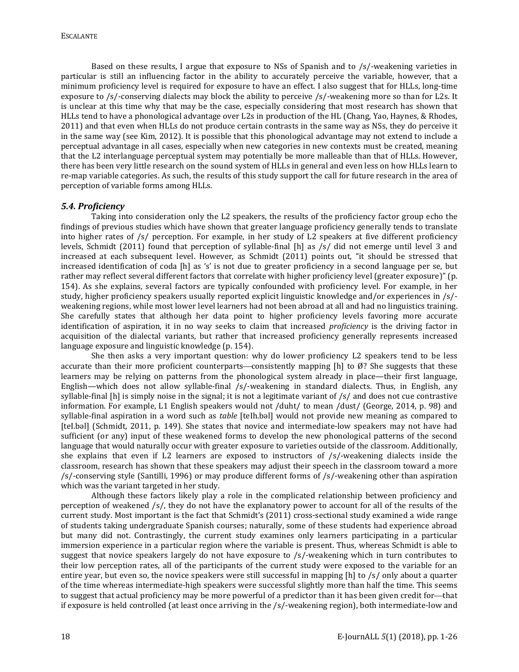Based on these results, I argue that exposure to NSs of Spanish and to /s/-weakening varieties in particular is still an influencing factor in the ability to accurately perceive the variable, however, that a minimum proficiency level is required for exposure to have an effect. I also suggest that for HLLs, long-time exposure to /s/-conserving dialects may block the ability to perceive /s/-weakening more so than for L2s. It is unclear at this time why that may be the case, especially considering that most research has shown that HLLs tend to have a phonological advantage over L2s in production of the HL (Chang, Yao, Haynes, & Rhodes, 2011) and that even when HLLs do not produce certain contrasts in the same way as NSs, they do perceive it in the same way (see Kim, 2012). It is possible that this phonological advantage may not extend to include a perceptual advantage in all cases, especially when new categories in new contexts must be created, meaning that the L2 interlanguage perceptual system may potentially be more malleable than that of HLLs. However, there has been very little research on the sound system of HLLs in general and even less on how HLLs learn to re-map variable categories. As such, the results of this study support the call for future research in the area of perception of variable forms among HLLs.

#### *5.4. Proficiency*

Taking into consideration only the L2 speakers, the results of the proficiency factor group echo the findings of previous studies which have shown that greater language proficiency generally tends to translate into higher rates of  $/s/$  perception. For example, in her study of L2 speakers at five different proficiency levels, Schmidt (2011) found that perception of syllable-final [h] as /s/ did not emerge until level 3 and increased at each subsequent level. However, as Schmidt (2011) points out, "it should be stressed that increased identification of coda [h] as 's' is not due to greater proficiency in a second language per se, but rather may reflect several different factors that correlate with higher proficiency level (greater exposure)" (p. 154). As she explains, several factors are typically confounded with proficiency level. For example, in her study, higher proficiency speakers usually reported explicit linguistic knowledge and/or experiences in /s/ weakening regions, while most lower level learners had not been abroad at all and had no linguistics training. She carefully states that although her data point to higher proficiency levels favoring more accurate identification of aspiration, it in no way seeks to claim that increased *proficiency* is the driving factor in acquisition of the dialectal variants, but rather that increased proficiency generally represents increased language exposure and linguistic knowledge (p. 154).

She then asks a very important question: why do lower proficiency L2 speakers tend to be less accurate than their more proficient counterparts—consistently mapping [h] to  $\emptyset$ ? She suggests that these learners may be relying on patterns from the phonological system already in place—their first language, English—which does not allow syllable-final /s/-weakening in standard dialects. Thus, in English, any syllable-final [h] is simply noise in the signal; it is not a legitimate variant of /s/ and does not cue contrastive information. For example, L1 English speakers would not /duht/ to mean /dust/ (George, 2014, p. 98) and syllable-final aspiration in a word such as *table* [teIh.bəl] would not provide new meaning as compared to [teI.bəl] (Schmidt, 2011, p. 149). She states that novice and intermediate-low speakers may not have had sufficient (or any) input of these weakened forms to develop the new phonological patterns of the second language that would naturally occur with greater exposure to varieties outside of the classroom. Additionally, she explains that even if L2 learners are exposed to instructors of /s/-weakening dialects inside the classroom, research has shown that these speakers may adjust their speech in the classroom toward a more /s/-conserving style (Santilli, 1996) or may produce different forms of /s/-weakening other than aspiration which was the variant targeted in her study.

Although these factors likely play a role in the complicated relationship between proficiency and perception of weakened /s/, they do not have the explanatory power to account for all of the results of the current study. Most important is the fact that Schmidt's (2011) cross-sectional study examined a wide range of students taking undergraduate Spanish courses; naturally, some of these students had experience abroad but many did not. Contrastingly, the current study examines only learners participating in a particular immersion experience in a particular region where the variable is present. Thus, whereas Schmidt is able to suggest that novice speakers largely do not have exposure to /s/-weakening which in turn contributes to their low perception rates, all of the participants of the current study were exposed to the variable for an entire year, but even so, the novice speakers were still successful in mapping [h] to /s/ only about a quarter of the time whereas intermediate-high speakers were successful slightly more than half the time. This seems to suggest that actual proficiency may be more powerful of a predictor than it has been given credit for—that if exposure is held controlled (at least once arriving in the /s/-weakening region), both intermediate-low and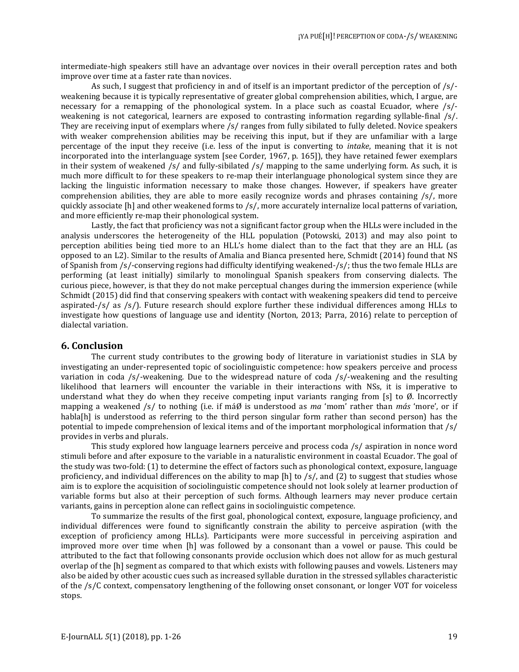intermediate-high speakers still have an advantage over novices in their overall perception rates and both improve over time at a faster rate than novices.

As such, I suggest that proficiency in and of itself is an important predictor of the perception of /s/ weakening because it is typically representative of greater global comprehension abilities, which, I argue, are necessary for a remapping of the phonological system. In a place such as coastal Ecuador, where /s/ weakening is not categorical, learners are exposed to contrasting information regarding syllable-final /s/. They are receiving input of exemplars where /s/ ranges from fully sibilated to fully deleted. Novice speakers with weaker comprehension abilities may be receiving this input, but if they are unfamiliar with a large percentage of the input they receive (i.e. less of the input is converting to *intake*, meaning that it is not incorporated into the interlanguage system [see Corder, 1967, p. 165]), they have retained fewer exemplars in their system of weakened /s/ and fully-sibilated /s/ mapping to the same underlying form. As such, it is much more difficult to for these speakers to re-map their interlanguage phonological system since they are lacking the linguistic information necessary to make those changes. However, if speakers have greater comprehension abilities, they are able to more easily recognize words and phrases containing /s/, more quickly associate [h] and other weakened forms to /s/, more accurately internalize local patterns of variation, and more efficiently re-map their phonological system.

Lastly, the fact that proficiency was not a significant factor group when the HLLs were included in the analysis underscores the heterogeneity of the HLL population (Potowski, 2013) and may also point to perception abilities being tied more to an HLL's home dialect than to the fact that they are an HLL (as opposed to an L2). Similar to the results of Amalia and Bianca presented here, Schmidt (2014) found that NS of Spanish from /s/-conserving regions had difficulty identifying weakened-/s/; thus the two female HLLs are performing (at least initially) similarly to monolingual Spanish speakers from conserving dialects. The curious piece, however, is that they do not make perceptual changes during the immersion experience (while Schmidt (2015) did find that conserving speakers with contact with weakening speakers did tend to perceive aspirated-/s/ as /s/). Future research should explore further these individual differences among HLLs to investigate how questions of language use and identity (Norton, 2013; Parra, 2016) relate to perception of dialectal variation.

### **6. Conclusion**

The current study contributes to the growing body of literature in variationist studies in SLA by investigating an under-represented topic of sociolinguistic competence: how speakers perceive and process variation in coda /s/-weakening. Due to the widespread nature of coda /s/-weakening and the resulting likelihood that learners will encounter the variable in their interactions with NSs, it is imperative to understand what they do when they receive competing input variants ranging from [s] to Ø. Incorrectly mapping a weakened /s/ to nothing (i.e. if máØ is understood as *ma* 'mom' rather than *más* 'more', or if habla[h] is understood as referring to the third person singular form rather than second person) has the potential to impede comprehension of lexical items and of the important morphological information that /s/ provides in verbs and plurals.

This study explored how language learners perceive and process coda /s/ aspiration in nonce word stimuli before and after exposure to the variable in a naturalistic environment in coastal Ecuador. The goal of the study was two-fold: (1) to determine the effect of factors such as phonological context, exposure, language proficiency, and individual differences on the ability to map [h] to /s/, and (2) to suggest that studies whose aim is to explore the acquisition of sociolinguistic competence should not look solely at learner production of variable forms but also at their perception of such forms. Although learners may never produce certain variants, gains in perception alone can reflect gains in sociolinguistic competence.

To summarize the results of the first goal, phonological context, exposure, language proficiency, and individual differences were found to significantly constrain the ability to perceive aspiration (with the exception of proficiency among HLLs). Participants were more successful in perceiving aspiration and improved more over time when [h] was followed by a consonant than a vowel or pause. This could be attributed to the fact that following consonants provide occlusion which does not allow for as much gestural overlap of the [h] segment as compared to that which exists with following pauses and vowels. Listeners may also be aided by other acoustic cues such as increased syllable duration in the stressed syllables characteristic of the /s/C context, compensatory lengthening of the following onset consonant, or longer VOT for voiceless stops.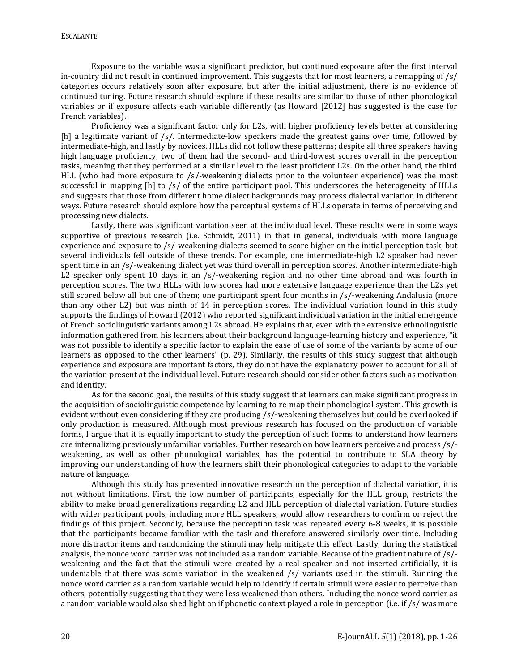Exposure to the variable was a significant predictor, but continued exposure after the first interval in-country did not result in continued improvement. This suggests that for most learners, a remapping of  $\sqrt{s}$ categories occurs relatively soon after exposure, but after the initial adjustment, there is no evidence of continued tuning. Future research should explore if these results are similar to those of other phonological variables or if exposure affects each variable differently (as Howard [2012] has suggested is the case for French variables).

Proficiency was a significant factor only for L2s, with higher proficiency levels better at considering [h] a legitimate variant of /s/. Intermediate-low speakers made the greatest gains over time, followed by intermediate-high, and lastly by novices. HLLs did not follow these patterns; despite all three speakers having high language proficiency, two of them had the second- and third-lowest scores overall in the perception tasks, meaning that they performed at a similar level to the least proficient L2s. On the other hand, the third HLL (who had more exposure to /s/-weakening dialects prior to the volunteer experience) was the most successful in mapping [h] to /s/ of the entire participant pool. This underscores the heterogeneity of HLLs and suggests that those from different home dialect backgrounds may process dialectal variation in different ways. Future research should explore how the perceptual systems of HLLs operate in terms of perceiving and processing new dialects.

Lastly, there was significant variation seen at the individual level. These results were in some ways supportive of previous research (i.e. Schmidt, 2011) in that in general, individuals with more language experience and exposure to /s/-weakening dialects seemed to score higher on the initial perception task, but several individuals fell outside of these trends. For example, one intermediate-high L2 speaker had never spent time in an /s/-weakening dialect yet was third overall in perception scores. Another intermediate-high L2 speaker only spent 10 days in an /s/-weakening region and no other time abroad and was fourth in perception scores. The two HLLs with low scores had more extensive language experience than the L2s yet still scored below all but one of them; one participant spent four months in /s/-weakening Andalusia (more than any other L2) but was ninth of 14 in perception scores. The individual variation found in this study supports the findings of Howard (2012) who reported significant individual variation in the initial emergence of French sociolinguistic variants among L2s abroad. He explains that, even with the extensive ethnolinguistic information gathered from his learners about their background language-learning history and experience, "it was not possible to identify a specific factor to explain the ease of use of some of the variants by some of our learners as opposed to the other learners" (p. 29). Similarly, the results of this study suggest that although experience and exposure are important factors, they do not have the explanatory power to account for all of the variation present at the individual level. Future research should consider other factors such as motivation and identity.

As for the second goal, the results of this study suggest that learners can make significant progress in the acquisition of sociolinguistic competence by learning to re-map their phonological system. This growth is evident without even considering if they are producing /s/-weakening themselves but could be overlooked if only production is measured. Although most previous research has focused on the production of variable forms, I argue that it is equally important to study the perception of such forms to understand how learners are internalizing previously unfamiliar variables. Further research on how learners perceive and process /s/ weakening, as well as other phonological variables, has the potential to contribute to SLA theory by improving our understanding of how the learners shift their phonological categories to adapt to the variable nature of language.

Although this study has presented innovative research on the perception of dialectal variation, it is not without limitations. First, the low number of participants, especially for the HLL group, restricts the ability to make broad generalizations regarding L2 and HLL perception of dialectal variation. Future studies with wider participant pools, including more HLL speakers, would allow researchers to confirm or reject the findings of this project. Secondly, because the perception task was repeated every 6-8 weeks, it is possible that the participants became familiar with the task and therefore answered similarly over time. Including more distractor items and randomizing the stimuli may help mitigate this effect. Lastly, during the statistical analysis, the nonce word carrier was not included as a random variable. Because of the gradient nature of /s/ weakening and the fact that the stimuli were created by a real speaker and not inserted artificially, it is undeniable that there was some variation in the weakened /s/ variants used in the stimuli. Running the nonce word carrier as a random variable would help to identify if certain stimuli were easier to perceive than others, potentially suggesting that they were less weakened than others. Including the nonce word carrier as a random variable would also shed light on if phonetic context played a role in perception (i.e. if /s/ was more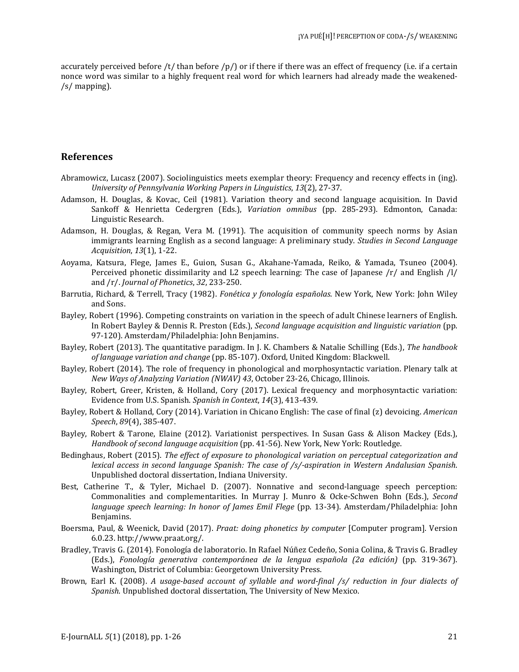accurately perceived before /t/ than before /p/) or if there if there was an effect of frequency (i.e. if a certain nonce word was similar to a highly frequent real word for which learners had already made the weakened- /s/ mapping).

### **References**

- Abramowicz, Lucasz (2007). Sociolinguistics meets exemplar theory: Frequency and recency effects in (ing). *University of Pennsylvania Working Papers in Linguistics*, *13*(2), 27-37.
- Adamson, H. Douglas, & Kovac, Ceil (1981). Variation theory and second language acquisition. In David Sankoff & Henrietta Cedergren (Eds.), *Variation omnibus* (pp. 285-293). Edmonton, Canada: Linguistic Research.
- Adamson, H. Douglas, & Regan, Vera M. (1991). The acquisition of community speech norms by Asian immigrants learning English as a second language: A preliminary study. *Studies in Second Language Acquisition*, *13*(1), 1-22.
- Aoyama, Katsura, Flege, James E., Guion, Susan G., Akahane-Yamada, Reiko, & Yamada, Tsuneo (2004). Perceived phonetic dissimilarity and L2 speech learning: The case of Japanese /r/ and English /l/ and /r/. *Journal of Phonetics*, *32*, 233-250.
- Barrutia, Richard, & Terrell, Tracy (1982). *Fonética y fonología españolas*. New York, New York: John Wiley and Sons.
- Bayley, Robert (1996). Competing constraints on variation in the speech of adult Chinese learners of English. In Robert Bayley & Dennis R. Preston (Eds.), *Second language acquisition and linguistic variation* (pp. 97-120). Amsterdam/Philadelphia: John Benjamins.
- Bayley, Robert (2013). The quantitative paradigm. In J. K. Chambers & Natalie Schilling (Eds.), *The handbook of language variation and change* (pp. 85-107). Oxford, United Kingdom: Blackwell.
- Bayley, Robert (2014). The role of frequency in phonological and morphosyntactic variation. Plenary talk at *New Ways of Analyzing Variation (NWAV) 43*, October 23-26, Chicago, Illinois.
- Bayley, Robert, Greer, Kristen, & Holland, Cory (2017). Lexical frequency and morphosyntactic variation: Evidence from U.S. Spanish. *Spanish in Context*, *14*(3), 413-439.
- Bayley, Robert & Holland, Cory (2014). Variation in Chicano English: The case of final (z) devoicing. *American Speech*, *89*(4), 385-407.
- Bayley, Robert & Tarone, Elaine (2012). Variationist perspectives. In Susan Gass & Alison Mackey (Eds.), *Handbook of second language acquisition* (pp. 41-56). New York, New York: Routledge.
- Bedinghaus, Robert (2015). *The effect of exposure to phonological variation on perceptual categorization and lexical access in second language Spanish: The case of /s/-aspiration in Western Andalusian Spanish*. Unpublished doctoral dissertation, Indiana University.
- Best, Catherine T., & Tyler, Michael D. (2007). Nonnative and second-language speech perception: Commonalities and complementarities. In Murray J. Munro & Ocke-Schwen Bohn (Eds.), *Second language speech learning: In honor of James Emil Flege* (pp. 13-34). Amsterdam/Philadelphia: John Benjamins.
- Boersma, Paul, & Weenick, David (2017). *Praat: doing phonetics by computer* [Computer program]. Version 6.0.23. http://www.praat.org/.
- Bradley, Travis G. (2014). Fonología de laboratorio. In Rafael Núñez Cedeño, Sonia Colina, & Travis G. Bradley (Eds.), *Fonología generativa contemporánea de la lengua española (2a edición)* (pp. 319-367). Washington, District of Columbia: Georgetown University Press.
- Brown, Earl K. (2008). *A usage-based account of syllable and word-final /s/ reduction in four dialects of Spanish*. Unpublished doctoral dissertation, The University of New Mexico.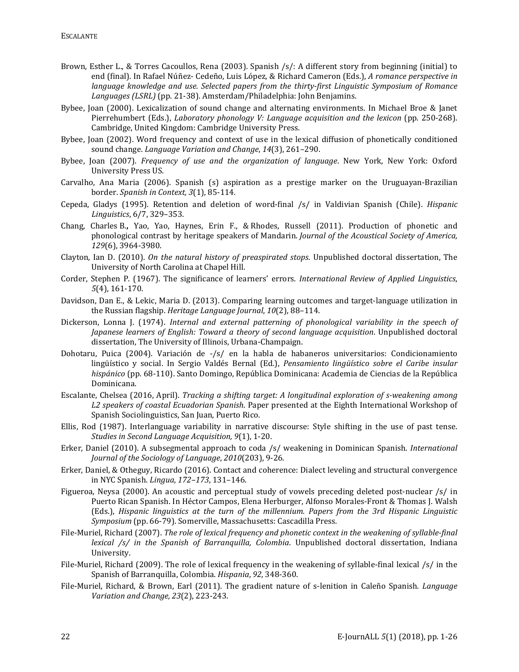- Brown, Esther L., & Torres Cacoullos, Rena (2003). Spanish /s/: A different story from beginning (initial) to end (final). In Rafael Núñez- Cedeño, Luis López, & Richard Cameron (Eds.), *A romance perspective in language knowledge and use. Selected papers from the thirty-first Linguistic Symposium of Romance Languages (LSRL)* (pp. 21-38). Amsterdam/Philadelphia: John Benjamins.
- Bybee, Joan (2000). Lexicalization of sound change and alternating environments. In Michael Broe & Janet Pierrehumbert (Eds.), *Laboratory phonology V: Language acquisition and the lexicon* (pp. 250-268). Cambridge, United Kingdom: Cambridge University Press.
- Bybee, Joan (2002). Word frequency and context of use in the lexical diffusion of phonetically conditioned sound change. *Language Variation and Change*, *14*(3), 261–290.
- Bybee, Joan (2007). *Frequency of use and the organization of language*. New York, New York: Oxford University Press US.
- Carvalho, Ana Maria (2006). Spanish (s) aspiration as a prestige marker on the Uruguayan-Brazilian border. *Spanish in Context, 3*(1), 85-114*.*
- Cepeda, Gladys (1995). Retention and deletion of word-final /s/ in Valdivian Spanish (Chile). *Hispanic Linguistics*, 6/7, 329–353.
- Chang, Charles B.**,** Yao, Yao, Haynes, Erin F., & Rhodes, Russell (2011). Production of phonetic and phonological contrast by heritage speakers of Mandarin. *Journal of the Acoustical Society of America, 129*(6), 3964-3980.
- Clayton, Ian D. (2010). *On the natural history of preaspirated stops*. Unpublished doctoral dissertation, The University of North Carolina at Chapel Hill.
- Corder, Stephen P. (1967). The significance of learners' errors. *International Review of Applied Linguistics*, *5*(4), 161-170.
- Davidson, Dan E., & Lekic, Maria D. (2013). Comparing learning outcomes and target-language utilization in the Russian flagship. *Heritage Language Journal*, *10*(2), 88–114.
- Dickerson, Lonna J. (1974). *Internal and external patterning of phonological variability in the speech of Japanese learners of English: Toward a theory of second language acquisition*. Unpublished doctoral dissertation, The University of Illinois, Urbana-Champaign.
- Dohotaru, Puica (2004). Variación de -/s/ en la habla de habaneros universitarios: Condicionamiento lingüístico y social. In Sergio Valdés Bernal (Ed.), *Pensamiento lingüístico sobre el Caribe insular hispánico* (pp. 68-110). Santo Domingo, República Dominicana: Academia de Ciencias de la República Dominicana.
- Escalante, Chelsea (2016, April). *Tracking a shifting target: A longitudinal exploration of s-weakening among L2 speakers of coastal Ecuadorian Spanish*. Paper presented at the Eighth International Workshop of Spanish Sociolinguistics, San Juan, Puerto Rico.
- Ellis, Rod (1987). Interlanguage variability in narrative discourse: Style shifting in the use of past tense. *Studies in Second Language Acquisition, 9*(1), 1-20.
- Erker, Daniel (2010). A subsegmental approach to coda /s/ weakening in Dominican Spanish. *International Journal of the Sociology of Language*, *2010*(203), 9-26.
- Erker, Daniel, & Otheguy, Ricardo (2016). Contact and coherence: Dialect leveling and structural convergence in NYC Spanish. *Lingua*, *172–173*, 131–146.
- Figueroa, Neysa (2000). An acoustic and perceptual study of vowels preceding deleted post-nuclear /s/ in Puerto Rican Spanish. In Héctor Campos, Elena Herburger, Alfonso Morales-Front & Thomas J. Walsh (Eds.), *Hispanic linguistics at the turn of the millennium. Papers from the 3rd Hispanic Linguistic Symposium* (pp. 66-79). Somerville, Massachusetts: Cascadilla Press.
- File-Muriel, Richard (2007). *The role of lexical frequency and phonetic context in the weakening of syllable-final lexical /s/ in the Spanish of Barranquilla, Colombia*. Unpublished doctoral dissertation, Indiana University.
- File-Muriel, Richard (2009). The role of lexical frequency in the weakening of syllable-final lexical /s/ in the Spanish of Barranquilla, Colombia. *Hispania*, *92*, 348-360.
- File-Muriel, Richard, & Brown, Earl (2011). The gradient nature of s-lenition in Caleño Spanish. *Language Variation and Change, 23*(2), 223-243.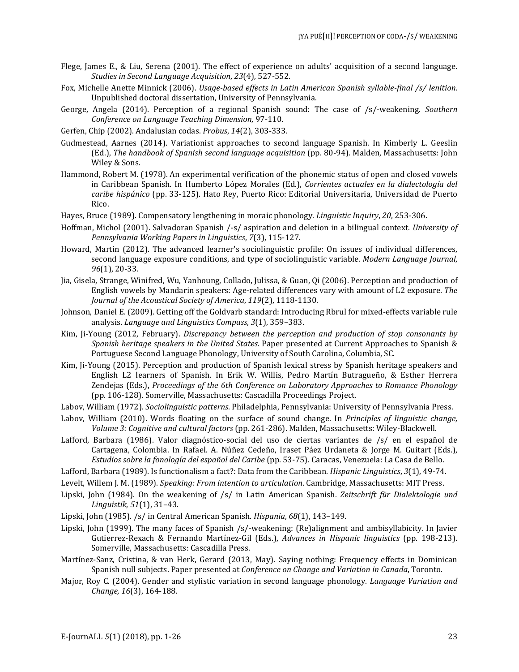- Flege, James E., & Liu, Serena (2001). The effect of experience on adults' acquisition of a second language. *Studies in Second Language Acquisition*, *23*(4), 527-552.
- Fox, Michelle Anette Minnick (2006). *Usage-based effects in Latin American Spanish syllable-final /s/ lenition*. Unpublished doctoral dissertation, University of Pennsylvania.
- George, Angela (2014). Perception of a regional Spanish sound: The case of /s/-weakening. *Southern Conference on Language Teaching Dimension*, 97-110.
- Gerfen, Chip (2002). Andalusian codas. *Probus*, *14*(2), 303-333.
- Gudmestead, Aarnes (2014). Variationist approaches to second language Spanish. In Kimberly L. Geeslin (Ed.), *The handbook of Spanish second language acquisition* (pp. 80-94). Malden, Massachusetts: John Wiley & Sons.
- Hammond, Robert M. (1978). An experimental verification of the phonemic status of open and closed vowels in Caribbean Spanish. In Humberto López Morales (Ed.), *Corrientes actuales en la dialectología del caribe hispánico* (pp. 33-125). Hato Rey, Puerto Rico: Editorial Universitaria, Universidad de Puerto Rico.
- Hayes, Bruce (1989). Compensatory lengthening in moraic phonology. *Linguistic Inquiry*, *20*, 253-306.
- Hoffman, Michol (2001). Salvadoran Spanish /-s/ aspiration and deletion in a bilingual context. *University of Pennsylvania Working Papers in Linguistics*, *7*(3), 115-127.
- Howard, Martin (2012). The advanced learner's sociolinguistic profile: On issues of individual differences, second language exposure conditions, and type of sociolinguistic variable. *Modern Language Journal*, *96*(1), 20-33.
- Jia, Gisela, Strange, Winifred, Wu, Yanhoung, Collado, Julissa, & Guan, Qi (2006). Perception and production of English vowels by Mandarin speakers: Age-related differences vary with amount of L2 exposure. *The Journal of the Acoustical Society of America*, *119*(2), 1118-1130.
- Johnson, Daniel E. (2009). Getting off the Goldvarb standard: Introducing Rbrul for mixed-effects variable rule analysis. *Language and Linguistics Compass*, *3*(1), 359–383.
- Kim, Ji-Young (2012, February). *Discrepancy between the perception and production of stop consonants by Spanish heritage speakers in the United States*. Paper presented at Current Approaches to Spanish & Portuguese Second Language Phonology, University of South Carolina, Columbia, SC.
- Kim, Ji-Young (2015). Perception and production of Spanish lexical stress by Spanish heritage speakers and English L2 learners of Spanish. In Erik W. Willis, Pedro Martín Butragueño, & Esther Herrera Zendejas (Eds.), *Proceedings of the 6th Conference on Laboratory Approaches to Romance Phonology* (pp. 106-128). Somerville, Massachusetts: Cascadilla Proceedings Project.
- Labov, William (1972). *Sociolinguistic patterns*. Philadelphia, Pennsylvania: University of Pennsylvania Press.
- Labov, William (2010). Words floating on the surface of sound change. In *Principles of linguistic change, Volume 3: Cognitive and cultural factors* (pp. 261-286). Malden, Massachusetts: Wiley-Blackwell.
- Lafford, Barbara (1986). Valor diagnóstico-social del uso de ciertas variantes de /s/ en el español de Cartagena, Colombia. In Rafael. A. Núñez Cedeño, Iraset Páez Urdaneta & Jorge M. Guitart (Eds.), *Estudios sobre la fonología del español del Caribe* (pp. 53-75). Caracas, Venezuela: La Casa de Bello.
- Lafford, Barbara (1989). Is functionalism a fact?: Data from the Caribbean. *Hispanic Linguistics*, *3*(1), 49-74.
- Levelt, Willem J. M. (1989). *Speaking: From intention to articulation*. Cambridge, Massachusetts: MIT Press.
- Lipski, John (1984). On the weakening of /s/ in Latin American Spanish. *Zeitschrift für Dialektologie und Linguistik*, *51*(1), 31–43.
- Lipski, John (1985). /s/ in Central American Spanish. *Hispania*, *68*(1), 143–149.
- Lipski, John (1999). The many faces of Spanish /s/-weakening: (Re)alignment and ambisyllabicity. In Javier Gutierrez-Rexach & Fernando Martínez-Gil (Eds.), *Advances in Hispanic linguistics* (pp. 198-213). Somerville, Massachusetts: Cascadilla Press.
- Martínez-Sanz, Cristina, & van Herk, Gerard (2013, May). Saying nothing: Frequency effects in Dominican Spanish null subjects. Paper presented at *Conference on Change and Variation in Canada*, Toronto.
- Major, Roy C. (2004). Gender and stylistic variation in second language phonology. *Language Variation and Change, 16*(3), 164-188.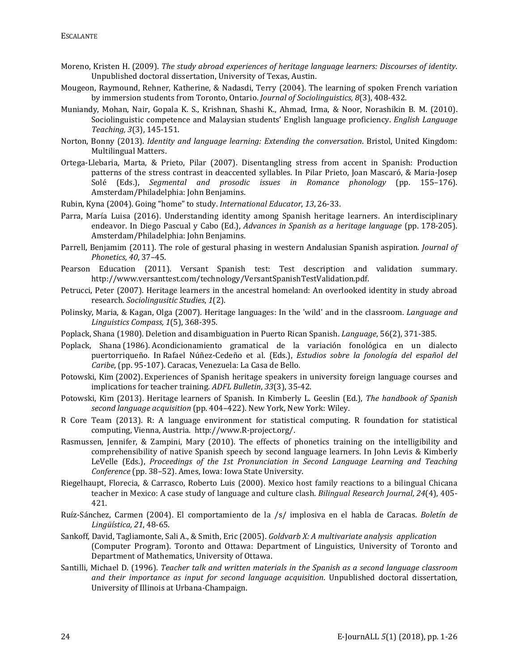- Moreno, Kristen H. (2009). *The study abroad experiences of heritage language learners: Discourses of identity*. Unpublished doctoral dissertation, University of Texas, Austin.
- Mougeon, Raymound, Rehner, Katherine, & Nadasdi, Terry (2004). The learning of spoken French variation by immersion students from Toronto, Ontario. *Journal of Sociolinguistics, 8*(3), 408-432.
- Muniandy, Mohan, Nair, Gopala K. S., Krishnan, Shashi K., Ahmad, Irma, & Noor, Norashikin B. M. (2010). Sociolinguistic competence and Malaysian students' English language proficiency. *English Language Teaching, 3*(3), 145-151.
- Norton, Bonny (2013). *Identity and language learning: Extending the conversation*. Bristol, United Kingdom: Multilingual Matters.
- Ortega-Llebaria, Marta, & Prieto, Pilar (2007). Disentangling stress from accent in Spanish: Production patterns of the stress contrast in deaccented syllables. In Pilar Prieto, Joan Mascaró, & Maria-Josep Solé (Eds.), *Segmental and prosodic issues in Romance phonology* (pp. 155–176). Amsterdam/Philadelphia: John Benjamins.
- Rubin, Kyna (2004). Going "home" to study. *International Educator*, *13*, 26-33.
- Parra, María Luisa (2016). Understanding identity among Spanish heritage learners. An interdisciplinary endeavor. In Diego Pascual y Cabo (Ed.), *Advances in Spanish as a heritage language* (pp. 178-205). Amsterdam/Philadelphia: John Benjamins.
- Parrell, Benjamim (2011). The role of gestural phasing in western Andalusian Spanish aspiration. *Journal of Phonetics, 40*, 37–45.
- Pearson Education (2011). Versant Spanish test: Test description and validation summary. http://www.versanttest.com/technology/VersantSpanishTestValidation.pdf.
- Petrucci, Peter (2007). Heritage learners in the ancestral homeland: An overlooked identity in study abroad research. *Sociolingusitic Studies*, *1*(2).
- Polinsky, Maria, & Kagan, Olga (2007). Heritage languages: In the 'wild' and in the classroom. *Language and Linguistics Compass, 1*(5), 368-395.
- Poplack, Shana (1980). [Deletion and disambiguation in Puerto Rican Spanish.](http://www.sociolinguistics.uottawa.ca/shanapoplack/pubs/articles/Poplack1980Deletion.pdf) *Language*, 56(2), 371-385.
- Poplack, Shana (1986). [Acondicionamiento gramatical de la variación fonológica en un dialecto](http://www.sociolinguistics.uottawa.ca/shanapoplack/pubs/articles/Poplack1986.pdf)  [puertorriqueño.](http://www.sociolinguistics.uottawa.ca/shanapoplack/pubs/articles/Poplack1986.pdf) In Rafael Núñez-Cedeño et al. (Eds.), *Estudios sobre la fonología del español del Caribe*, (pp. 95-107). Caracas, Venezuela: La Casa de Bello.
- Potowski, Kim (2002). Experiences of Spanish heritage speakers in university foreign language courses and implications for teacher training. *ADFL Bulletin*, *33*(3), 35-42.
- Potowski, Kim (2013). Heritage learners of Spanish. In Kimberly L. Geeslin (Ed.), *The handbook of Spanish second language acquisition* (pp. 404–422). New York, New York: Wiley.
- R Core Team (2013). R: A language environment for statistical computing. R foundation for statistical computing, Vienna, Austria. http://www.R-project.org/.
- Rasmussen, Jennifer, & Zampini, Mary (2010). The effects of phonetics training on the intelligibility and comprehensibility of native Spanish speech by second language learners. In John Levis & Kimberly LeVelle (Eds.), *Proceedings of the 1st Pronunciation in Second Language Learning and Teaching Conference* (pp. 38–52). Ames, Iowa: Iowa State University.
- Riegelhaupt, Florecia, & Carrasco, Roberto Luis (2000). Mexico host family reactions to a bilingual Chicana teacher in Mexico: A case study of language and culture clash. *Bilingual Research Journal*, *24*(4), 405- 421.
- Ruíz-Sánchez, Carmen (2004). El comportamiento de la /s/ implosiva en el habla de Caracas. *Boletín de Lingüística, 21*, 48-65.
- Sankoff, David, Tagliamonte, Sali A., & Smith, Eric (2005). *Goldvarb X: A multivariate analysis application* (Computer Program). Toronto and Ottawa: Department of Linguistics, University of Toronto and Department of Mathematics, University of Ottawa.
- Santilli, Michael D. (1996). *Teacher talk and written materials in the Spanish as a second language classroom and their importance as input for second language acquisition*. Unpublished doctoral dissertation, University of Illinois at Urbana-Champaign.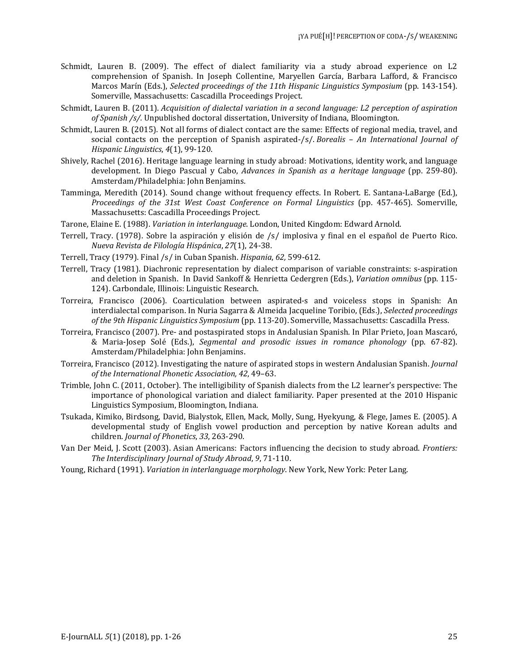- Schmidt, Lauren B. (2009). The effect of dialect familiarity via a study abroad experience on L2 comprehension of Spanish. In Joseph Collentine, Maryellen García, Barbara Lafford, & Francisco Marcos Marín (Eds.), *Selected proceedings of the 11th Hispanic Linguistics Symposium* (pp. 143-154). Somerville, Massachusetts: Cascadilla Proceedings Project.
- Schmidt, Lauren B. (2011). *Acquisition of dialectal variation in a second language: L2 perception of aspiration of Spanish /s/.* Unpublished doctoral dissertation, University of Indiana, Bloomington.
- Schmidt, Lauren B. (2015). Not all forms of dialect contact are the same: Effects of regional media, travel, and social contacts on the perception of Spanish aspirated-/s/. *Borealis – An International Journal of Hispanic Linguistics*, *4*(1), 99-120.
- Shively, Rachel (2016). Heritage language learning in study abroad: Motivations, identity work, and language development. In Diego Pascual y Cabo, *Advances in Spanish as a heritage language* (pp. 259-80). Amsterdam/Philadelphia: John Benjamins.
- Tamminga, Meredith (2014). Sound change without frequency effects. In Robert. E. Santana-LaBarge (Ed.), *Proceedings of the 31st West Coast Conference on Formal Linguistics* (pp. 457-465). Somerville, Massachusetts: Cascadilla Proceedings Project.
- Tarone, Elaine E. (1988). *Variation in interlanguage*. London, United Kingdom: Edward Arnold.
- Terrell, Tracy. (1978). Sobre la aspiración y elisión de /s/ implosiva y final en el español de Puerto Rico. *Nueva Revista de Filología Hispánica*, *27*(1), 24-38.
- Terrell, Tracy (1979). Final /s/ in Cuban Spanish. *Hispania*, *62,* 599-612.
- Terrell, Tracy (1981). Diachronic representation by dialect comparison of variable constraints: s-aspiration and deletion in Spanish. In David Sankoff & Henrietta Cedergren (Eds.), *Variation omnibus* (pp. 115- 124). Carbondale, Illinois: Linguistic Research.
- Torreira, Francisco (2006). Coarticulation between aspirated-s and voiceless stops in Spanish: An interdialectal comparison. In Nuria Sagarra & Almeida Jacqueline Toribio, (Eds.), *Selected proceedings of the 9th Hispanic Linguistics Symposium* (pp. 113-20). Somerville, Massachusetts: Cascadilla Press.
- Torreira, Francisco (2007). Pre- and postaspirated stops in Andalusian Spanish. In Pilar Prieto, Joan Mascaró, & Maria-Josep Solé (Eds.), *Segmental and prosodic issues in romance phonology* (pp. 67-82). Amsterdam/Philadelphia: John Benjamins.
- Torreira, Francisco (2012). Investigating the nature of aspirated stops in western Andalusian Spanish. *Journal of the International Phonetic Association, 42*, 49–63.
- Trimble, John C. (2011, October). The intelligibility of Spanish dialects from the L2 learner's perspective: The importance of phonological variation and dialect familiarity. Paper presented at the 2010 Hispanic Linguistics Symposium, Bloomington, Indiana.
- Tsukada, Kimiko, Birdsong, David, Bialystok, Ellen, Mack, Molly, Sung, Hyekyung, & Flege, James E. (2005). A developmental study of English vowel production and perception by native Korean adults and children. *Journal of Phonetics*, *33*, 263-290.
- Van Der Meid, J. Scott (2003). Asian Americans: Factors influencing the decision to study abroad. *[Frontiers:](https://www.researchgate.net/journal/2380-8144_Frontiers_The_Interdisciplinary_Journal_of_Study_Abroad)  [The Interdisciplinary Journal of Study Abroad](https://www.researchgate.net/journal/2380-8144_Frontiers_The_Interdisciplinary_Journal_of_Study_Abroad)*, *9*, 71-110.
- Young, Richard (1991). *Variation in interlanguage morphology*. New York, New York: Peter Lang.